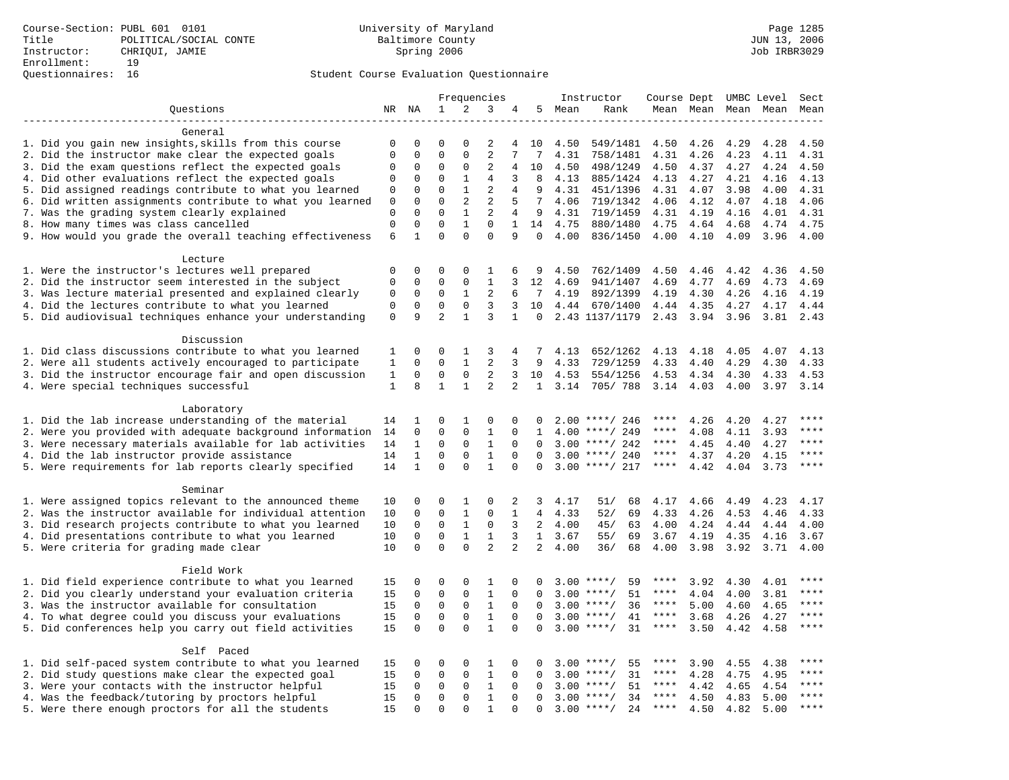|                                                                                                       | Frequencies                |                              |                              |                              | Instructor                    |                                |                      | Course Dept UMBC Level |                            | Sect         |              |                     |              |                     |
|-------------------------------------------------------------------------------------------------------|----------------------------|------------------------------|------------------------------|------------------------------|-------------------------------|--------------------------------|----------------------|------------------------|----------------------------|--------------|--------------|---------------------|--------------|---------------------|
| Questions                                                                                             |                            | NR NA                        | 1                            | 2                            | 3                             | 4                              | 5                    | Mean                   | Rank                       |              |              | Mean Mean Mean Mean |              | Mean                |
|                                                                                                       |                            |                              |                              |                              |                               |                                |                      |                        |                            |              |              |                     |              |                     |
| General                                                                                               |                            |                              |                              |                              |                               |                                |                      |                        |                            |              |              |                     |              |                     |
| 1. Did you gain new insights, skills from this course                                                 | $\mathbf 0$                | 0                            | $\Omega$                     | $\Omega$                     | 2                             | 4                              | 10                   | 4.50                   | 549/1481                   | 4.50         | 4.26         | 4.29                | 4.28         | 4.50                |
| 2. Did the instructor make clear the expected goals                                                   | $\mathsf 0$                | $\mathbf 0$                  | $\mathbf{0}$                 | $\mathbf 0$                  | $\mathbf{2}$                  | 7                              | $7\phantom{.0}$      | 4.31                   | 758/1481                   | 4.31         | 4.26         | 4.23                | 4.11         | 4.31                |
| 3. Did the exam questions reflect the expected goals                                                  | 0                          | $\mathbf 0$                  | $\mathbf{0}$                 | $\mathbf 0$                  | $\overline{2}$                | 4                              | 10                   | 4.50                   | 498/1249                   | 4.50         | 4.37         | 4.27                | 4.24         | 4.50                |
| 4. Did other evaluations reflect the expected goals                                                   | $\mathbf 0$                | 0                            | $\mathbf 0$                  | 1                            | 4                             | 3                              | 8                    | 4.13                   | 885/1424                   | 4.13         | 4.27         | 4.21                | 4.16         | 4.13                |
| 5. Did assigned readings contribute to what you learned                                               | 0                          | $\mathbf 0$                  | $\mathbf{0}$                 | $\mathbf{1}$                 | $\overline{2}$                | 4                              | 9                    | 4.31                   | 451/1396                   | 4.31         | 4.07         | 3.98                | 4.00         | 4.31                |
| 6. Did written assignments contribute to what you learned                                             | $\mathbf 0$                | $\Omega$                     | $\Omega$                     | $\overline{a}$               | 2                             | 5                              | 7                    | 4.06                   | 719/1342                   | 4.06         | 4.12         | 4.07                | 4.18         | 4.06                |
| 7. Was the grading system clearly explained                                                           | $\mathbf 0$<br>$\mathsf 0$ | $\Omega$<br>$\mathbf 0$      | $\mathbf{0}$<br>$\mathbf{0}$ | $\mathbf{1}$<br>$\mathbf{1}$ | $\overline{2}$<br>$\mathbf 0$ | $\overline{4}$<br>$\mathbf{1}$ | 9                    | 4.31                   | 719/1459                   | 4.31         | 4.19         | 4.16                | 4.01         | 4.31                |
| 8. How many times was class cancelled<br>9. How would you grade the overall teaching effectiveness    | 6                          | $\mathbf{1}$                 | $\Omega$                     | $\Omega$                     | $\Omega$                      | 9                              | 14<br>$\Omega$       | 4.75<br>4.00           | 880/1480<br>836/1450       | 4.75<br>4.00 | 4.64<br>4.10 | 4.68<br>4.09        | 4.74<br>3.96 | 4.75<br>4.00        |
|                                                                                                       |                            |                              |                              |                              |                               |                                |                      |                        |                            |              |              |                     |              |                     |
| Lecture                                                                                               |                            |                              |                              |                              |                               |                                |                      |                        |                            |              |              |                     |              |                     |
| 1. Were the instructor's lectures well prepared                                                       | $\mathsf 0$                | $\mathbf 0$                  | $\mathbf 0$                  | $\mathbf 0$                  | 1                             | 6                              | 9                    | 4.50                   | 762/1409                   | 4.50         | 4.46         | 4.42                | 4.36         | 4.50                |
| 2. Did the instructor seem interested in the subject                                                  | 0                          | 0                            | $\mathbf 0$                  | $\mathbf 0$                  | 1                             | 3                              | 12                   | 4.69                   | 941/1407                   | 4.69         | 4.77         | 4.69                | 4.73         | 4.69                |
| 3. Was lecture material presented and explained clearly                                               | 0                          | $\mathbf 0$                  | $\mathbf 0$                  | 1                            | 2                             | 6                              | 7                    | 4.19                   | 892/1399                   | 4.19         | 4.30         | 4.26                | 4.16         | 4.19                |
| 4. Did the lectures contribute to what you learned                                                    | $\mathbf 0$                | $\mathbf 0$                  | $\mathbf{0}$                 | $\mathbf 0$                  | 3                             | 3                              | 10                   | 4.44                   | 670/1400                   | 4.44         | 4.35         | 4.27                | 4.17         | 4.44                |
| 5. Did audiovisual techniques enhance your understanding                                              | $\mathsf{O}\xspace$        | 9                            | $\overline{2}$               | $\mathbf{1}$                 | 3                             | $\mathbf{1}$                   | $\Omega$             |                        | 2.43 1137/1179             | 2.43         | 3.94         | 3.96                | 3.81         | 2.43                |
|                                                                                                       |                            |                              |                              |                              |                               |                                |                      |                        |                            |              |              |                     |              |                     |
| Discussion                                                                                            |                            |                              |                              |                              |                               |                                |                      |                        |                            |              |              |                     |              |                     |
| 1. Did class discussions contribute to what you learned                                               | 1                          | 0                            | $\mathbf 0$                  | 1                            | 3                             | 4                              | 7                    | 4.13                   | 652/1262                   | 4.13         | 4.18         | 4.05                | 4.07         | 4.13                |
| 2. Were all students actively encouraged to participate                                               | $\mathbf{1}$               | $\mathbf 0$                  | $\Omega$                     | $\mathbf{1}$                 | 2                             | 3                              | 9                    | 4.33                   | 729/1259                   | 4.33         | 4.40         | 4.29                | 4.30         | 4.33                |
| 3. Did the instructor encourage fair and open discussion                                              | $1\,$                      | $\mathbf 0$                  | $\mathbf 0$                  | $\mathsf{O}\xspace$          | $\mathbf{2}$                  | 3                              | 10                   | 4.53                   | 554/1256                   | 4.53         | 4.34         | 4.30                | 4.33         | 4.53                |
| 4. Were special techniques successful                                                                 | $\mathbf{1}$               | 8                            | $\mathbf{1}$                 | $\mathbf{1}$                 | 2                             | 2                              | $\mathbf{1}$         | 3.14                   | 705/788                    | 3.14         | 4.03         | 4.00                | 3.97         | 3.14                |
|                                                                                                       |                            |                              |                              |                              |                               |                                |                      |                        |                            |              |              |                     |              |                     |
| Laboratory                                                                                            |                            |                              |                              |                              |                               |                                |                      |                        |                            |              |              |                     |              |                     |
| 1. Did the lab increase understanding of the material                                                 | 14                         | 1                            | $\Omega$                     | 1                            | 0                             | $\Omega$                       |                      |                        | $2.00$ ****/ 246           | ****         | 4.26         | 4.20                | 4.27         | $***$ * * *<br>**** |
| 2. Were you provided with adequate background information                                             | 14                         | $\mathbf 0$                  | $\mathbf{0}$                 | $\mathbf 0$                  | $\mathbf{1}$                  | $\Omega$                       | $\mathbf{1}$         | 4.00                   | ****/ 249                  | ****         | 4.08         | 4.11                | 3.93         | ****                |
| 3. Were necessary materials available for lab activities                                              | 14                         | 1                            | $\mathbf 0$                  | 0                            | 1                             | $\mathbf 0$                    | $\Omega$             | 3.00                   | ****/ 242                  | ****         | 4.45         | 4.40                | 4.27         | ****                |
| 4. Did the lab instructor provide assistance                                                          | 14                         | $\mathbf{1}$<br>$\mathbf{1}$ | $\mathbf{0}$<br>$\Omega$     | $\mathbf 0$<br>$\Omega$      | $\mathbf{1}$<br>$\mathbf{1}$  | $\mathbf 0$                    | $\Omega$             |                        | $3.00$ ****/ 240           | ****<br>**** | 4.37         | 4.20                | 4.15         | ****                |
| 5. Were requirements for lab reports clearly specified                                                | 14                         |                              |                              |                              |                               | $\Omega$                       | $\Omega$             |                        | $3.00$ ****/ 217           |              | 4.42         | 4.04                | 3.73         |                     |
| Seminar                                                                                               |                            |                              |                              |                              |                               |                                |                      |                        |                            |              |              |                     |              |                     |
| 1. Were assigned topics relevant to the announced theme                                               | 10                         | 0                            | 0                            | 1                            | $\mathbf 0$                   | 2                              | 3                    | 4.17                   | 51/<br>68                  | 4.17         | 4.66         | 4.49                | 4.23         | 4.17                |
| 2. Was the instructor available for individual attention                                              | 10                         | 0                            | $\mathbf 0$                  | $\mathbf{1}$                 | $\mathbf{0}$                  | $\mathbf 1$                    | 4                    | 4.33                   | 52/<br>69                  | 4.33         | 4.26         | 4.53                | 4.46         | 4.33                |
| 3. Did research projects contribute to what you learned                                               | 10                         | $\Omega$                     | $\Omega$                     | $1\,$                        | $\mathbf 0$                   | 3                              | 2                    | 4.00                   | 45/<br>63                  | 4.00         | 4.24         | 4.44                | 4.44         | 4.00                |
| 4. Did presentations contribute to what you learned                                                   | 10                         | $\mathbf 0$                  | $\mathsf 0$                  | $\mathbf{1}$                 | $\mathbf{1}$                  | 3                              | $\mathbf{1}$         | 3.67                   | 69<br>55/                  | 3.67         | 4.19         | 4.35                | 4.16         | 3.67                |
| 5. Were criteria for grading made clear                                                               | 10                         | 0                            | $\mathbf{0}$                 | $\Omega$                     | $\overline{2}$                | $\overline{a}$                 | $\overline{2}$       | 4.00                   | 36/<br>68                  | 4.00         | 3.98         | 3.92                | 3.71         | 4.00                |
|                                                                                                       |                            |                              |                              |                              |                               |                                |                      |                        |                            |              |              |                     |              |                     |
| Field Work                                                                                            |                            |                              |                              |                              |                               |                                |                      |                        |                            |              |              |                     |              |                     |
| 1. Did field experience contribute to what you learned                                                | 15                         | 0                            | $\mathbf{0}$                 | $\mathbf 0$                  | 1                             | $\mathbf 0$                    | $\Omega$             |                        | $3.00$ ****/<br>59         | ****         | 3.92         | 4.30                | 4.01         | ****                |
| 2. Did you clearly understand your evaluation criteria                                                | 15                         | $\mathbf 0$                  | $\mathsf 0$                  | $\mathsf 0$                  | $\mathbf{1}$                  | $\mathbf 0$                    | $\mathbf 0$          | 3.00                   | $***/$<br>51               | $***$ * * *  | 4.04         | 4.00                | 3.81         | $***$               |
| 3. Was the instructor available for consultation                                                      | 15                         | 0                            | $\mathbf 0$                  | 0                            | $\mathbf{1}$                  | 0                              | $\Omega$             |                        | $3.00$ ****/<br>36         | ****         | 5.00         | 4.60                | 4.65         | $***$               |
| 4. To what degree could you discuss your evaluations                                                  | 15                         | $\Omega$                     | $\mathbf{0}$                 | $\Omega$                     | $\mathbf{1}$                  | $\Omega$                       | $\Omega$             |                        | $3.00$ ****/<br>41         | $***$ * *    | 3.68         | 4.26                | 4.27         | ****                |
| 5. Did conferences help you carry out field activities                                                | 15                         | $\mathbf 0$                  | $\mathbf 0$                  | $\Omega$                     | $\mathbf{1}$                  | $\Omega$                       | $\Omega$             |                        | $3.00$ ****/<br>31         | $***$ * * *  | 3.50         | 4.42                | 4.58         | $***$               |
|                                                                                                       |                            |                              |                              |                              |                               |                                |                      |                        |                            |              |              |                     |              |                     |
| Self Paced                                                                                            |                            |                              |                              |                              |                               |                                |                      |                        |                            |              |              |                     |              | ****                |
| 1. Did self-paced system contribute to what you learned                                               | 15                         | 0                            | $\mathbf 0$                  | $\mathbf 0$                  | 1                             | 0                              | $\Omega$             | 3.00                   | $***$ /<br>55              | ****         | 3.90         | 4.55                | 4.38         | ****                |
| 2. Did study questions make clear the expected goal                                                   | 15                         | $\mathbf 0$                  | $\mathbf 0$                  | $\mathbf 0$                  | $\mathbf{1}$                  | $\mathbf 0$                    | $\Omega$             | 3.00                   | ****/<br>31<br>$* * * * /$ | ****<br>**** | 4.28         | 4.75                | 4.95         | ****                |
| 3. Were your contacts with the instructor helpful<br>4. Was the feedback/tutoring by proctors helpful | 15                         | $\mathbf 0$<br>$\mathbf 0$   | $\mathbf{0}$<br>$\mathsf 0$  | $\mathbf 0$<br>$\mathbf 0$   | $\mathbf{1}$<br>$\mathbf{1}$  | $\Omega$<br>$\mathbf 0$        | $\Omega$<br>$\Omega$ | 3.00                   | 51<br>$3.00$ ****/<br>34   | ****         | 4.42<br>4.50 | 4.65                | 4.54<br>5.00 | ****                |
| 5. Were there enough proctors for all the students                                                    | 15<br>15                   | $\Omega$                     | $\Omega$                     | $\Omega$                     | $\mathbf{1}$                  | $\Omega$                       | $\Omega$             |                        | $3.00$ ****/<br>24         | $***$ * *    | 4.50         | 4.83<br>4.82        | 5.00         | ****                |
|                                                                                                       |                            |                              |                              |                              |                               |                                |                      |                        |                            |              |              |                     |              |                     |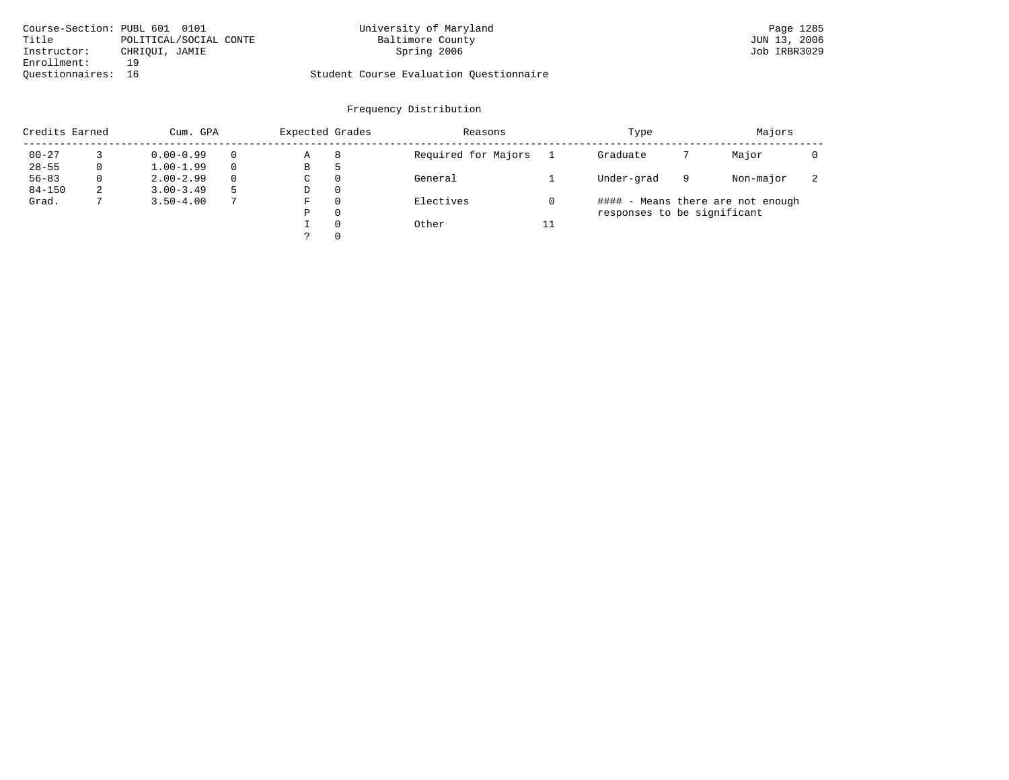| Course-Section: PUBL 601 0101 |                        | University of Maryland                  | Page 1285    |
|-------------------------------|------------------------|-----------------------------------------|--------------|
| Title                         | POLITICAL/SOCIAL CONTE | Baltimore County                        | JUN 13, 2006 |
| Instructor:                   | CHRIOUI, JAMIE         | Spring 2006                             | Job IRBR3029 |
| Enrollment:                   | 19                     |                                         |              |
| Ouestionnaires: 16            |                        | Student Course Evaluation Ouestionnaire |              |

| Credits Earned |          | Cum. GPA      |          |   | Expected Grades | Reasons             |    | Type                        | Majors |                                   |                          |
|----------------|----------|---------------|----------|---|-----------------|---------------------|----|-----------------------------|--------|-----------------------------------|--------------------------|
| $00 - 27$      |          | $0.00 - 0.99$ |          | Α | 8               | Required for Majors |    | Graduate                    |        | Major                             |                          |
| $28 - 55$      | 0        | $1.00 - 1.99$ |          | В | כ               |                     |    |                             |        |                                   |                          |
| $56 - 83$      | $\Omega$ | $2.00 - 2.99$ | $\Omega$ | C | $\Omega$        | General             |    | Under-grad                  | 9      | Non-major                         | $\overline{\phantom{a}}$ |
| $84 - 150$     | 2        | $3.00 - 3.49$ |          | D | $\Omega$        |                     |    |                             |        |                                   |                          |
| Grad.          |          | $3.50 - 4.00$ |          | F | $\Omega$        | Electives           |    |                             |        | #### - Means there are not enough |                          |
|                |          |               |          | Ρ | $\Omega$        |                     |    | responses to be significant |        |                                   |                          |
|                |          |               |          |   | $\Omega$        | Other               | 11 |                             |        |                                   |                          |
|                |          |               |          |   | $\Omega$        |                     |    |                             |        |                                   |                          |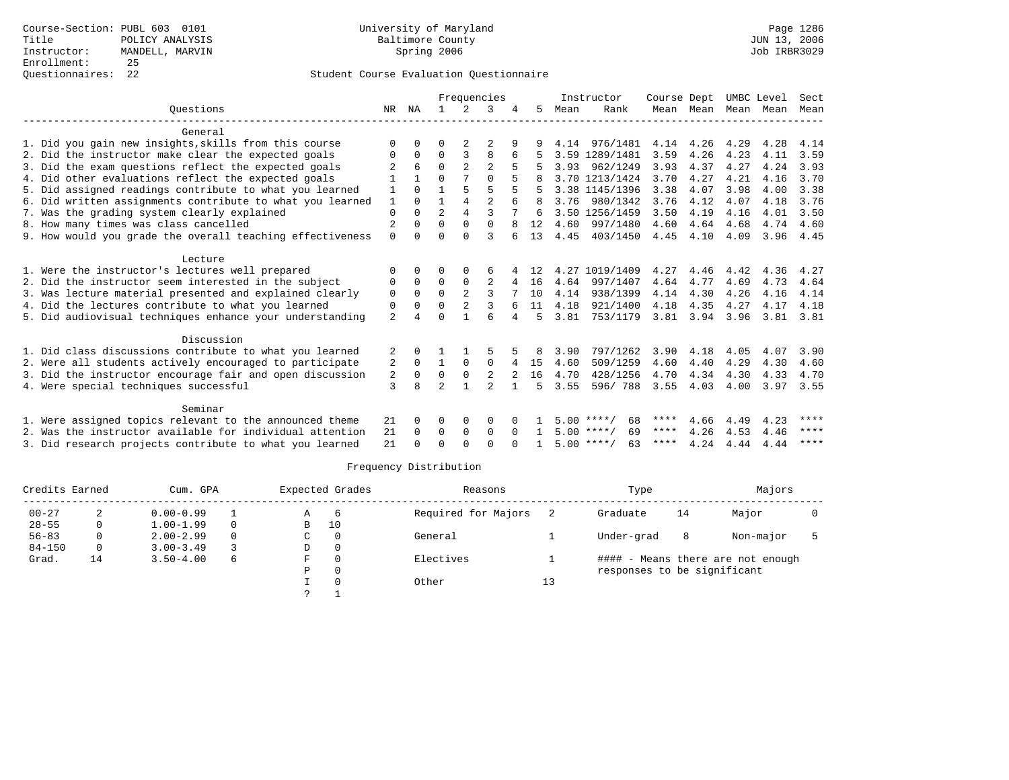|                                                           |                |          |                |                | Frequencies    |              |              |      | Instructor         | Course Dept |           | UMBC Level |      | Sect        |
|-----------------------------------------------------------|----------------|----------|----------------|----------------|----------------|--------------|--------------|------|--------------------|-------------|-----------|------------|------|-------------|
| Ouestions                                                 | NR.            | NA       |                |                | κ              |              | 5.           | Mean | Rank               | Mean Mean   |           | Mean       | Mean | Mean        |
| General                                                   |                |          |                |                |                |              |              |      |                    |             |           |            |      |             |
| 1. Did you gain new insights, skills from this course     | $\Omega$       | $\Omega$ | O              |                |                |              |              |      | 4.14 976/1481      |             | 4.14 4.26 | 4.29       | 4.28 | 4.14        |
| 2. Did the instructor make clear the expected goals       | 0              | $\Omega$ | $\Omega$       | 3              | 8              | 6            |              |      | 3.59 1289/1481     | 3.59        | 4.26      | 4.23       | 4.11 | 3.59        |
| 3. Did the exam questions reflect the expected goals      |                | 6        | $\Omega$       | $\overline{a}$ | $\overline{c}$ |              |              | 3.93 | 962/1249           | 3.93        | 4.37      | 4.27       | 4.24 | 3.93        |
| 4. Did other evaluations reflect the expected goals       |                |          | 0              |                | $\Omega$       |              |              |      | 3.70 1213/1424     | 3.70        | 4.27      | 4.21       | 4.16 | 3.70        |
| 5. Did assigned readings contribute to what you learned   | 1              | $\cap$   |                |                | 5              |              |              |      | 3.38 1145/1396     | 3.38        | 4.07      | 3.98       | 4.00 | 3.38        |
| 6. Did written assignments contribute to what you learned | 1              | $\Omega$ |                | $\overline{4}$ | $\mathfrak{D}$ |              | <sup>8</sup> | 3.76 | 980/1342           | 3.76        | 4.12      | 4.07       | 4.18 | 3.76        |
| 7. Was the grading system clearly explained               | $\mathbf 0$    | $\Omega$ | $\overline{a}$ | $\overline{4}$ | ζ              |              | 6            |      | 3.50 1256/1459     | 3.50        | 4.19      | 4.16       | 4.01 | 3.50        |
| 8. How many times was class cancelled                     | $\overline{2}$ | $\Omega$ | $\Omega$       | $\Omega$       | $\Omega$       |              | 12           | 4.60 | 997/1480           | 4.60        | 4.64      | 4.68       | 4.74 | 4.60        |
| 9. How would you grade the overall teaching effectiveness | $\Omega$       | $\cap$   | $\Omega$       | $\cap$         | ς              |              | 13           | 4.45 | 403/1450           | 4.45        | 4.10      | 4.09       | 3.96 | 4.45        |
| Lecture                                                   |                |          |                |                |                |              |              |      |                    |             |           |            |      |             |
| 1. Were the instructor's lectures well prepared           |                |          | O              | $\Omega$       | 6              |              | 12           |      | 4.27 1019/1409     | 4.27        | 4.46      | 4.42       | 4.36 | 4.27        |
| 2. Did the instructor seem interested in the subject      |                |          | $\Omega$       | $\Omega$       |                | 4            | 16           | 4.64 | 997/1407           | 4.64        | 4.77      | 4.69       | 4.73 | 4.64        |
| 3. Was lecture material presented and explained clearly   | $\mathbf 0$    | $\Omega$ | $\Omega$       |                | 3              |              | 10           | 4.14 | 938/1399           | 4.14        | 4.30      | 4.26       | 4.16 | 4.14        |
| 4. Did the lectures contribute to what you learned        | 0              | $\Omega$ | $\Omega$       |                | 3              | 6            | 11           | 4.18 | 921/1400           | 4.18        | 4.35      | 4.27       | 4.17 | 4.18        |
| 5. Did audiovisual techniques enhance your understanding  | $\overline{a}$ |          | $\Omega$       |                | ศ              |              | 5.           | 3.81 | 753/1179           | 3.81        | 3.94      | 3.96       | 3.81 | 3.81        |
| Discussion                                                |                |          |                |                |                |              |              |      |                    |             |           |            |      |             |
| 1. Did class discussions contribute to what you learned   | 2              | $\Omega$ |                |                |                |              | 8            | 3.90 | 797/1262           | 3.90        | 4.18      | 4.05       | 4.07 | 3.90        |
| 2. Were all students actively encouraged to participate   | 2              | $\Omega$ |                | $\mathbf 0$    | $\mathbf 0$    | 4            | 15           | 4.60 | 509/1259           | 4.60        | 4.40      | 4.29       | 4.30 | 4.60        |
| 3. Did the instructor encourage fair and open discussion  | 2              | 0        | $\Omega$       | $\mathbf 0$    |                |              | 16           | 4.70 | 428/1256           | 4.70        | 4.34      | 4.30       | 4.33 | 4.70        |
| 4. Were special techniques successful                     | 3              | 8        | $\mathfrak{D}$ | 1              | $\mathfrak{D}$ | $\mathbf{1}$ | 5            | 3.55 | 596/788            | 3.55        | 4.03      | 4.00       | 3.97 | 3.55        |
| Seminar                                                   |                |          |                |                |                |              |              |      |                    |             |           |            |      |             |
| 1. Were assigned topics relevant to the announced theme   | 21             | $\Omega$ | $\Omega$       | 0              | $\Omega$       |              |              |      | 68<br>$5.00$ ****/ | ****        | 4.66      | 4.49       | 4.23 | ****        |
| 2. Was the instructor available for individual attention  | 21             | $\Omega$ | 0              | $\mathbf 0$    | $\Omega$       | $\Omega$     |              |      | 69<br>$5.00$ ****/ | $***$ * *   | 4.26      | 4.53       | 4.46 | ****        |
| 3. Did research projects contribute to what you learned   | 21             |          | $\cap$         | $\cap$         | $\cap$         | $\cap$       |              |      | $5.00$ ****/<br>63 | ****        | 4.24      | 4.44       | 4.44 | $***$ * * * |

| Credits Earned |          | Cum. GPA      |          |    | Expected Grades | Reasons             |    | Type                        |    | Majors                            |  |
|----------------|----------|---------------|----------|----|-----------------|---------------------|----|-----------------------------|----|-----------------------------------|--|
| $00 - 27$      |          | $0.00 - 0.99$ |          | A  | 6               | Required for Majors |    | Graduate                    | 14 | Major                             |  |
| $28 - 55$      | 0        | $1.00 - 1.99$ | $\Omega$ | в  | 10              |                     |    |                             |    |                                   |  |
| $56 - 83$      | 0        | $2.00 - 2.99$ | $\Omega$ | C  | $\Omega$        | General             |    | Under-grad                  | 8  | Non-major                         |  |
| $84 - 150$     | $\Omega$ | $3.00 - 3.49$ |          | D  | 0               |                     |    |                             |    |                                   |  |
| Grad.          | 14       | $3.50 - 4.00$ | 6        | F. | $\Omega$        | Electives           |    |                             |    | #### - Means there are not enough |  |
|                |          |               |          | Ρ  | $\Omega$        |                     |    | responses to be significant |    |                                   |  |
|                |          |               |          |    |                 | Other               | 13 |                             |    |                                   |  |
|                |          |               |          |    |                 |                     |    |                             |    |                                   |  |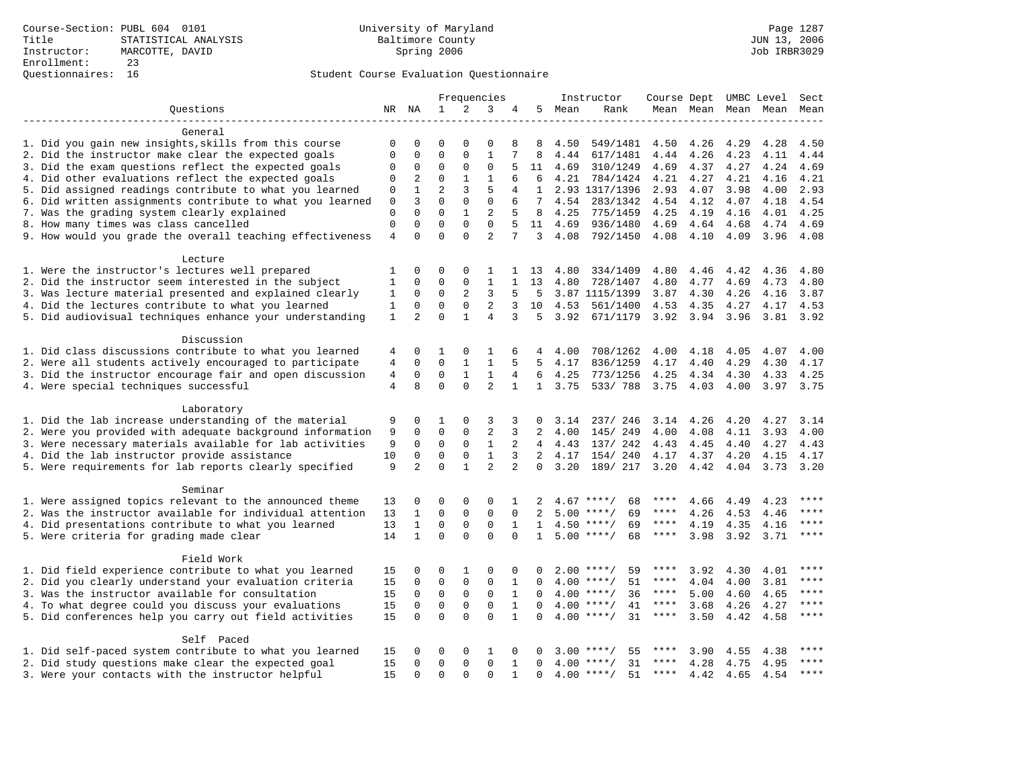|                                                                                                                      |                  |                         |                            |                     | Frequencies       |                |                         |          | Instructor                               | Course Dept UMBC Level |                |              |              | Sect         |
|----------------------------------------------------------------------------------------------------------------------|------------------|-------------------------|----------------------------|---------------------|-------------------|----------------|-------------------------|----------|------------------------------------------|------------------------|----------------|--------------|--------------|--------------|
| Ouestions                                                                                                            |                  | NR NA                   | $\mathbf{1}$               | 2                   | 3                 | 4              |                         | 5 Mean   | Rank                                     |                        | Mean Mean      |              | Mean Mean    | Mean         |
|                                                                                                                      |                  |                         |                            |                     |                   |                |                         |          |                                          |                        |                |              |              |              |
| General                                                                                                              |                  |                         |                            |                     |                   |                |                         |          |                                          |                        |                |              |              |              |
| 1. Did you gain new insights, skills from this course                                                                | 0                | 0<br>$\mathbf 0$        | 0<br>$\mathbf{0}$          | 0<br>$\Omega$       | 0<br>$\mathbf{1}$ | 8              | 8                       | 4.50     | 549/1481                                 | 4.50                   | 4.26           | 4.29         | 4.28         | 4.50         |
| 2. Did the instructor make clear the expected goals                                                                  | $\mathbf 0$      |                         | $\mathbf{0}$               | $\mathbf 0$         | $\mathsf 0$       |                | 8<br>11                 | 4.44     | 617/1481                                 | 4.44                   | 4.26           | 4.23         | 4.11         | 4.44<br>4.69 |
| 3. Did the exam questions reflect the expected goals                                                                 | 0                | 0                       | $\mathbf 0$                |                     |                   |                |                         | 4.69     | 310/1249                                 | 4.69                   | 4.37           | 4.27         | 4.24         |              |
| 4. Did other evaluations reflect the expected goals                                                                  | 0                | 2<br>$\mathbf{1}$       | $\overline{2}$             | $\mathbf{1}$<br>3   | $\mathbf{1}$<br>5 | 6<br>4         | 6<br>$\mathbf{1}$       | 4.21     | 784/1424                                 | 4.21<br>2.93           | 4.27           | 4.21         | 4.16<br>4.00 | 4.21         |
| 5. Did assigned readings contribute to what you learned<br>6. Did written assignments contribute to what you learned | 0                | 3                       | $\mathbf 0$                | $\mathbf 0$         | 0                 | 6              | 7                       | 4.54     | 2.93 1317/1396<br>283/1342               | 4.54                   | 4.07<br>4.12   | 3.98<br>4.07 | 4.18         | 2.93<br>4.54 |
| 7. Was the grading system clearly explained                                                                          | 0<br>$\mathbf 0$ | $\Omega$                | $\Omega$                   | $\mathbf{1}$        | $\overline{2}$    |                | 8                       | 4.25     | 775/1459                                 | 4.25                   | 4.19           | 4.16         | 4.01         | 4.25         |
| 8. How many times was class cancelled                                                                                | $\mathbf 0$      | $\Omega$                | $\Omega$                   | $\Omega$            | $\Omega$          | 5              | 11                      | 4.69     | 936/1480                                 | 4.69                   | 4.64           | 4.68         | 4.74         | 4.69         |
| 9. How would you grade the overall teaching effectiveness                                                            | $\overline{4}$   | $\Omega$                | $\Omega$                   | $\Omega$            | $\overline{a}$    | 7              | 3                       | 4.08     | 792/1450                                 | 4.08                   | 4.10           | 4.09         | 3.96         | 4.08         |
|                                                                                                                      |                  |                         |                            |                     |                   |                |                         |          |                                          |                        |                |              |              |              |
| Lecture                                                                                                              |                  |                         |                            |                     |                   |                |                         |          |                                          |                        |                |              |              |              |
| 1. Were the instructor's lectures well prepared                                                                      | 1                | $\mathbf 0$             | $\mathbf{0}$               | $\mathbf 0$         | 1                 | 1              | 13                      | 4.80     | 334/1409                                 | 4.80                   | 4.46           | 4.42         | 4.36         | 4.80         |
| 2. Did the instructor seem interested in the subject                                                                 | 1                | 0                       | $\mathbf{0}$               | $\mathbf 0$         | $\mathbf{1}$      | $\mathbf{1}$   | 13                      | 4.80     | 728/1407                                 | 4.80                   | 4.77           | 4.69         | 4.73         | 4.80         |
| 3. Was lecture material presented and explained clearly                                                              | 1                | 0                       | $\mathbf 0$                | 2                   | 3                 | 5              | 5                       |          | 3.87 1115/1399                           | 3.87                   | 4.30           | 4.26         | 4.16         | 3.87         |
| 4. Did the lectures contribute to what you learned                                                                   | 1                | $\mathbf 0$             | $\mathsf 0$                | $\mathsf{O}$        | $\overline{2}$    | 3              | 10                      | 4.53     | 561/1400                                 | 4.53                   | 4.35           | 4.27         | 4.17         | 4.53         |
| 5. Did audiovisual techniques enhance your understanding                                                             | $\mathbf{1}$     | $\overline{2}$          | $\Omega$                   | $\mathbf{1}$        | $\overline{4}$    | 3              | 5                       | 3.92     | 671/1179                                 | 3.92                   | 3.94 3.96      |              | 3.81         | 3.92         |
|                                                                                                                      |                  |                         |                            |                     |                   |                |                         |          |                                          |                        |                |              |              |              |
| Discussion                                                                                                           |                  |                         |                            |                     |                   |                |                         |          |                                          |                        |                |              |              |              |
| 1. Did class discussions contribute to what you learned                                                              | 4                | 0                       | 1                          | 0                   | 1                 | 6              | 4                       | 4.00     | 708/1262                                 | 4.00                   | 4.18           | 4.05         | 4.07         | 4.00         |
| 2. Were all students actively encouraged to participate                                                              | 4                | 0                       | $\mathbf{0}$               | 1                   | 1                 | 5              | 5                       | 4.17     | 836/1259                                 | 4.17                   | 4.40           | 4.29         | 4.30         | 4.17         |
| 3. Did the instructor encourage fair and open discussion                                                             | 4                | $\mathbf 0$             | $\mathbf 0$                | $\mathbf{1}$        | 1                 | $\overline{4}$ | 6                       | 4.25     | 773/1256                                 | 4.25                   | 4.34           | 4.30         | 4.33         | 4.25         |
| 4. Were special techniques successful                                                                                | $\overline{4}$   | 8                       | $\Omega$                   | $\Omega$            | $\overline{a}$    | $\mathbf{1}$   |                         | 1, 3.75  | 533/788                                  | 3.75                   | 4.03           | 4.00         | 3.97 3.75    |              |
| Laboratory                                                                                                           |                  |                         |                            |                     |                   |                |                         |          |                                          |                        |                |              |              |              |
| 1. Did the lab increase understanding of the material                                                                | 9                | 0                       | 1                          | $\mathbf 0$         | 3                 | 3              | $\Omega$                | 3.14     | 237/ 246                                 |                        | 3.14 4.26      | 4.20         | 4.27         | 3.14         |
| 2. Were you provided with adequate background information                                                            | 9                | $\mathbf 0$             | $\mathbf{0}$               | $\mathbf 0$         | $\sqrt{2}$        | 3              | 2                       | 4.00     | 145/249                                  | 4.00                   | 4.08           | 4.11         | 3.93         | 4.00         |
| 3. Were necessary materials available for lab activities                                                             | 9                | $\Omega$                | $\Omega$                   | $\Omega$            | $\mathbf{1}$      | $\overline{2}$ |                         | 4, 4, 43 | 137/ 242                                 | 4.43                   | 4.45           | 4.40         | 4.27         | 4.43         |
| 4. Did the lab instructor provide assistance                                                                         | 10               | $\Omega$                | $\mathbf 0$                | $\mathbf 0$         | $\mathbf{1}$      | 3              |                         | 2, 4.17  | 154/240                                  |                        | 4.17 4.37 4.20 |              | 4.15         | 4.17         |
| 5. Were requirements for lab reports clearly specified                                                               | 9                | 2                       | $\Omega$                   | $\mathbf{1}$        | $\overline{2}$    | $\overline{a}$ | $\Omega$                | 3.20     | 189/ 217                                 | 3.20                   | 4.42           | 4.04         | 3.73         | 3.20         |
|                                                                                                                      |                  |                         |                            |                     |                   |                |                         |          |                                          |                        |                |              |              |              |
| Seminar                                                                                                              |                  |                         |                            |                     |                   |                |                         |          |                                          |                        |                |              |              |              |
| 1. Were assigned topics relevant to the announced theme                                                              | 13               | 0                       | $\mathbf 0$                | $\mathbf 0$         | $\mathbf 0$       | 1              | 2                       | 4.67     | $***/$<br>68                             |                        | 4.66           | 4.49         | 4.23         | ****         |
| 2. Was the instructor available for individual attention                                                             | 13               | $\mathbf{1}$            | $\mathbf 0$                | $\mathbf 0$         | $\mathbf 0$       | $\Omega$       | 2                       | 5.00     | 69<br>$***/$                             | ****                   | 4.26           | 4.53         | 4.46         |              |
| 4. Did presentations contribute to what you learned                                                                  | 13               | $\mathbf{1}$            | $\mathbf{0}$               | $\mathbf 0$         | $\mathbf{0}$      | $\mathbf{1}$   | 1                       | 4.50     | 69<br>$***/$                             | ****                   | 4.19           | 4.35         | 4.16         | $***$        |
| 5. Were criteria for grading made clear                                                                              | 14               | $\mathbf{1}$            | $\Omega$                   | $\Omega$            | $\Omega$          | $\Omega$       | $\mathbf{1}$            |          | $5.00$ ****/<br>68                       | $***$ * * *            | 3.98           | 3.92         | 3.71         | $***$        |
| Field Work                                                                                                           |                  |                         |                            |                     |                   |                |                         |          |                                          |                        |                |              |              |              |
| 1. Did field experience contribute to what you learned                                                               | 15               | 0                       | 0                          | 1                   | 0                 | 0              | 0                       |          | $2.00$ ****/<br>59                       | ****                   | 3.92           | 4.30         | 4.01         |              |
| 2. Did you clearly understand your evaluation criteria                                                               | 15               | 0                       | $\mathbf 0$                | $\mathbf 0$         | $\mathbf{0}$      | $\mathbf{1}$   | $\Omega$                |          | $4.00$ ****/<br>51                       | ****                   | 4.04           | 4.00         | 3.81         | ****         |
| 3. Was the instructor available for consultation                                                                     | 15               | $\mathbf 0$             | $\mathsf{O}\xspace$        | $\mathsf{O}\xspace$ | $\mathsf 0$       | $\mathbf{1}$   | $\Omega$                |          | $4.00$ ****/<br>36                       | $***$ * * *            | 5.00           | 4.60         | 4.65         | $***$        |
| 4. To what degree could you discuss your evaluations                                                                 | 15               | $\mathbf 0$             | $\mathbf 0$                | $\mathbf 0$         | $\mathbf{0}$      | $\mathbf{1}$   | $\Omega$                |          | $4.00$ ****/<br>41                       | $***$ * * *            | 3.68           | 4.26         | 4.27         | $***$        |
| 5. Did conferences help you carry out field activities                                                               | 15               | $\Omega$                | $\Omega$                   | $\Omega$            | $\Omega$          | $\mathbf{1}$   | $\Omega$                |          | 31<br>$4.00$ ****/                       | $***$ * * *            | 3.50           | 4.42         | 4.58         | ****         |
|                                                                                                                      |                  |                         |                            |                     |                   |                |                         |          |                                          |                        |                |              |              |              |
| Self Paced                                                                                                           |                  |                         |                            |                     |                   |                |                         |          |                                          |                        |                |              |              |              |
| 1. Did self-paced system contribute to what you learned                                                              | 15               | $\Omega$<br>$\mathbf 0$ | $\mathbf 0$<br>$\mathbf 0$ | 0<br>$\mathbf 0$    | 1<br>$\mathbf 0$  | $\Omega$       | $\Omega$<br>$\mathbf 0$ |          | $3.00$ ****/<br>55<br>$4.00$ ****/<br>31 | ****<br>****           | 3.90           | 4.55         | 4.38         | $***$        |
| 2. Did study questions make clear the expected goal                                                                  | 15               | $\Omega$                | $\Omega$                   | $\Omega$            | $\Omega$          | $\mathbf{1}$   | $\Omega$                |          | 51                                       | ****                   | 4.28           | 4.75         | 4.95         | $***$ *      |
| 3. Were your contacts with the instructor helpful                                                                    | 15               |                         |                            |                     |                   | $\mathbf{1}$   |                         |          | $4.00$ ****/                             |                        | 4.42           | 4.65         | 4.54         |              |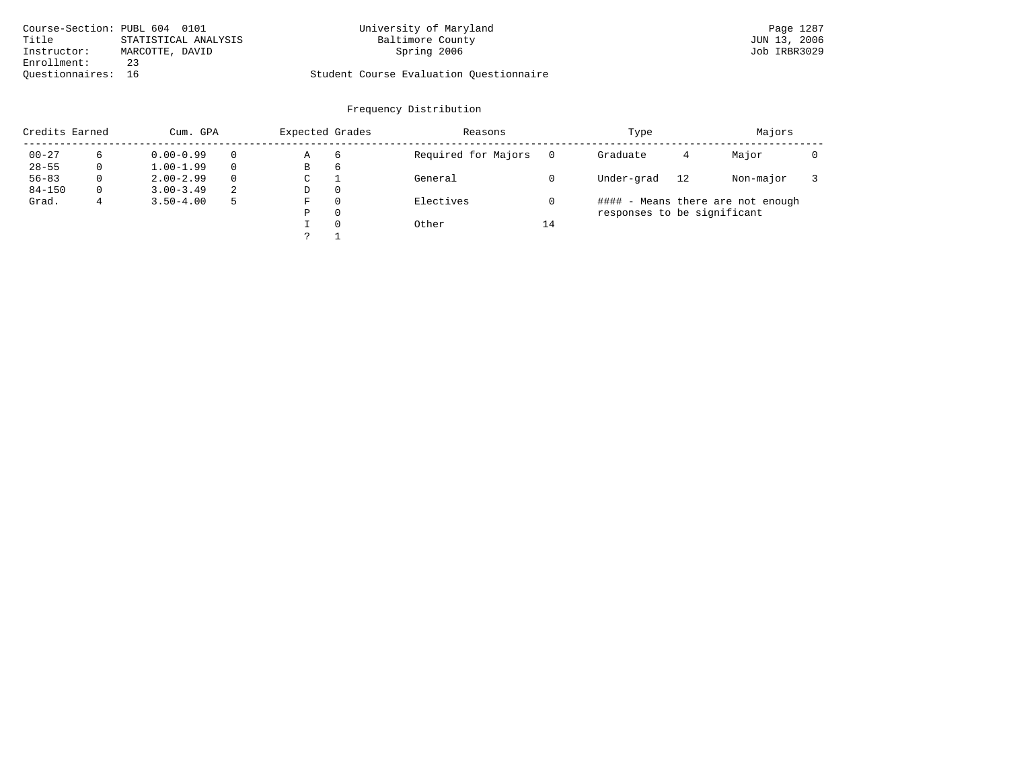|                    | Course-Section: PUBL 604 0101 | University of Maryland                  | Page 1287    |
|--------------------|-------------------------------|-----------------------------------------|--------------|
| Title              | STATISTICAL ANALYSIS          | Baltimore County                        | JUN 13, 2006 |
| Instructor:        | MARCOTTE, DAVID               | Spring 2006                             | Job IRBR3029 |
| Enrollment:        | 23                            |                                         |              |
| Ouestionnaires: 16 |                               | Student Course Evaluation Questionnaire |              |

| Credits Earned |          | Cum. GPA      | Expected Grades |   | Reasons  |                     | Type | Majors                      |    |                                   |  |
|----------------|----------|---------------|-----------------|---|----------|---------------------|------|-----------------------------|----|-----------------------------------|--|
| $00 - 27$      | 6        | $0.00 - 0.99$ | $\Omega$        | Α | 6        | Required for Majors |      | Graduate                    | 4  | Major                             |  |
| $28 - 55$      | 0        | $1.00 - 1.99$ | $\Omega$        | В | 6        |                     |      |                             |    |                                   |  |
| $56 - 83$      | 0        | $2.00 - 2.99$ | $\Omega$        | С |          | General             |      | Under-grad                  | 12 | Non-major                         |  |
| $84 - 150$     | $\Omega$ | $3.00 - 3.49$ | 2               | D | 0        |                     |      |                             |    |                                   |  |
| Grad.          | 4        | $3.50 - 4.00$ | 5               | F | 0        | Electives           |      |                             |    | #### - Means there are not enough |  |
|                |          |               |                 | Ρ | 0        |                     |      | responses to be significant |    |                                   |  |
|                |          |               |                 |   | $\Omega$ | Other               | 14   |                             |    |                                   |  |
|                |          |               |                 |   |          |                     |      |                             |    |                                   |  |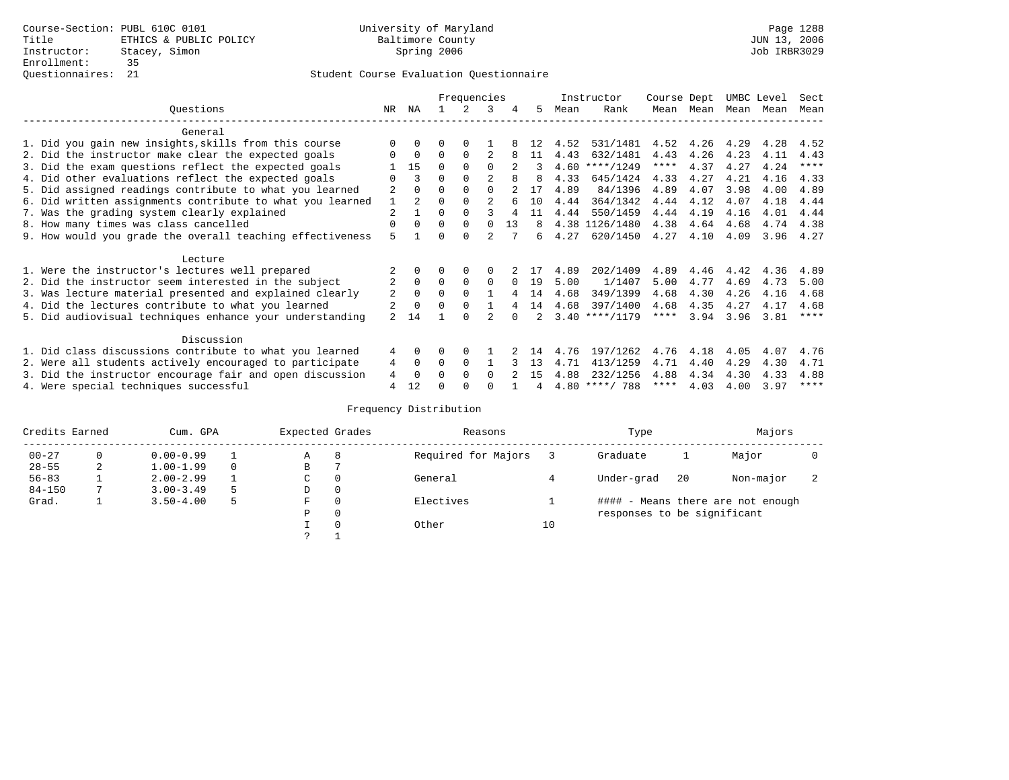|                                                           |                |               |          | Frequencies |                |          |     |      | Instructor       | Course Dept |      | UMBC Level |      | Sect        |
|-----------------------------------------------------------|----------------|---------------|----------|-------------|----------------|----------|-----|------|------------------|-------------|------|------------|------|-------------|
| Ouestions                                                 | NR.            | ΝA            |          |             | 3              | 4        | 5.  | Mean | Rank             | Mean        | Mean | Mean       | Mean | Mean        |
| General                                                   |                |               |          |             |                |          |     |      |                  |             |      |            |      |             |
| 1. Did you gain new insights, skills from this course     |                | $\Omega$      | O        | $\Omega$    |                |          | 12  | 4.52 | 531/1481         | 4.52        | 4.26 | 4.29       | 4.28 | 4.52        |
|                                                           | O              | $\Omega$      | $\Omega$ | $\Omega$    |                |          | 11  | 4.43 | 632/1481         | 4.43        | 4.26 | 4.23       | 4.11 | 4.43        |
| 2. Did the instructor make clear the expected goals       |                |               |          |             |                |          |     |      |                  |             |      |            |      | ****        |
| 3. Did the exam questions reflect the expected goals      |                | 15            | $\Omega$ | $\Omega$    | $\Omega$       |          |     | 4.60 | $***/1249$       | ****        | 4.37 | 4.27       | 4.24 |             |
| 4. Did other evaluations reflect the expected goals       | O              |               | $\Omega$ | $\Omega$    |                | 8        | 8   | 4.33 | 645/1424         | 4.33        | 4.27 | 4.21       | 4.16 | 4.33        |
| 5. Did assigned readings contribute to what you learned   | 2              | $\Omega$      | $\Omega$ | $\Omega$    | $\Omega$       |          | 17  | 4.89 | 84/1396          | 4.89        | 4.07 | 3.98       | 4.00 | 4.89        |
| 6. Did written assignments contribute to what you learned | 1              | $2^{1}$       | $\Omega$ |             | $\mathfrak{D}$ |          | 1 O | 4.44 | 364/1342         | 4.44        | 4.12 | 4.07       | 4.18 | 4.44        |
| 7. Was the grading system clearly explained               | $\overline{a}$ |               | $\Omega$ | $\Omega$    |                |          | 11  | 4.44 | 550/1459         | 4.44        | 4.19 | 4.16       | 4.01 | 4.44        |
| 8. How many times was class cancelled                     | $\Omega$       | $\Omega$      | $\Omega$ | $\Omega$    | $\cap$         | 13       | 8   |      | 4.38 1126/1480   | 4.38        | 4.64 | 4.68       | 4.74 | 4.38        |
| 9. How would you grade the overall teaching effectiveness | 5              |               | U        | $\cap$      |                |          | б.  | 4.27 | 620/1450         | 4.27        | 4.10 | 4.09       | 3.96 | 4.27        |
|                                                           |                |               |          |             |                |          |     |      |                  |             |      |            |      |             |
| Lecture                                                   |                |               |          |             |                |          |     |      |                  |             |      |            |      |             |
| 1. Were the instructor's lectures well prepared           |                |               |          |             |                |          |     | 4.89 | 202/1409         | 4.89        | 4.46 | 4.42       | 4.36 | 4.89        |
| 2. Did the instructor seem interested in the subject      | $\overline{2}$ | $\Omega$      | $\Omega$ | $\Omega$    | $\Omega$       | $\Omega$ | 19  | 5.00 | 1/1407           | 5.00        | 4.77 | 4.69       | 4.73 | 5.00        |
| 3. Was lecture material presented and explained clearly   | 2              | $\Omega$      | $\Omega$ | $\Omega$    |                |          | 14  | 4.68 | 349/1399         | 4.68        | 4.30 | 4.26       | 4.16 | 4.68        |
| 4. Did the lectures contribute to what you learned        |                | $\Omega$      |          | $\Omega$    |                |          | 14  | 4.68 | 397/1400         | 4.68        | 4.35 | 4.27       | 4.17 | 4.68        |
| 5. Did audiovisual techniques enhance your understanding  | $\mathfrak{D}$ | 14            |          |             |                |          |     |      | $3.40$ ****/1179 | $***$ * *   | 3.94 | 3.96       | 3.81 | ****        |
| Discussion                                                |                |               |          |             |                |          |     |      |                  |             |      |            |      |             |
| 1. Did class discussions contribute to what you learned   | 4              | $\Omega$      | U        | $\Omega$    |                |          | 14  | 4.76 | 197/1262         | 4.76        | 4.18 | 4.05       | 4.07 | 4.76        |
| 2. Were all students actively encouraged to participate   |                |               | $\Omega$ | $\Omega$    |                |          | 13  | 4.71 | 413/1259         | 4.71        | 4.40 | 4.29       | 4.30 | 4.71        |
|                                                           | 4              | 0<br>$\Omega$ | 0        | $\Omega$    | $\Omega$       |          | 15  | 4.88 |                  | 4.88        | 4.34 | 4.30       | 4.33 | 4.88        |
| 3. Did the instructor encourage fair and open discussion  | 4              |               |          |             |                |          |     |      | 232/1256         |             |      |            |      |             |
| 4. Were special techniques successful                     | 4              | 12            |          |             |                |          |     |      | $4.80$ ****/ 788 | ****        | 4.03 | 4.00       | 3.97 | $***$ * * * |

| Credits Earned |          | Cum. GPA      | Expected Grades |             | Reasons  |                     | Type | Majors                      |     |                                   |  |
|----------------|----------|---------------|-----------------|-------------|----------|---------------------|------|-----------------------------|-----|-----------------------------------|--|
| $00 - 27$      | $\Omega$ | $0.00 - 0.99$ |                 | А           | 8        | Required for Majors |      | Graduate                    |     | Major                             |  |
| $28 - 55$      | 2        | $1.00 - 1.99$ |                 | В           |          |                     |      |                             |     |                                   |  |
| $56 - 83$      |          | $2.00 - 2.99$ |                 | $\sim$<br>◡ | 0        | General             |      | Under-grad                  | -20 | Non-major                         |  |
| $84 - 150$     |          | $3.00 - 3.49$ | .5              | D           | 0        |                     |      |                             |     |                                   |  |
| Grad.          |          | $3.50 - 4.00$ | 5               | F           | 0        | Electives           |      |                             |     | #### - Means there are not enough |  |
|                |          |               |                 | Ρ           | 0        |                     |      | responses to be significant |     |                                   |  |
|                |          |               |                 |             | $\Omega$ | Other               | 10   |                             |     |                                   |  |
|                |          |               |                 | C           |          |                     |      |                             |     |                                   |  |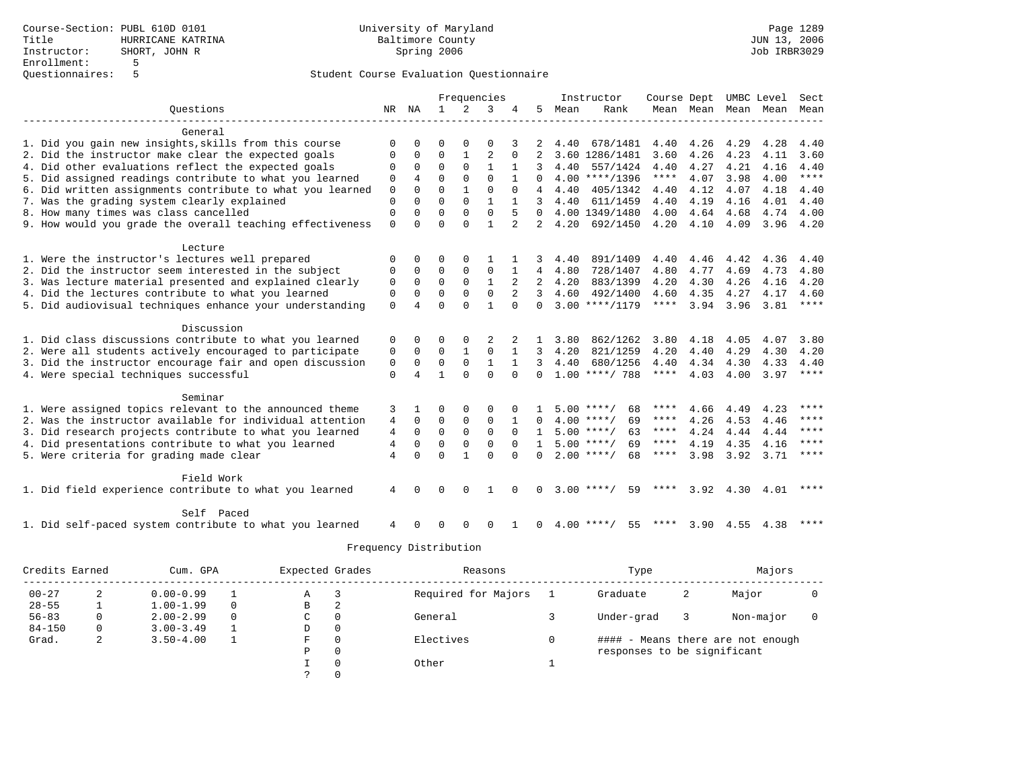|                                                           |                |                |              |              | Frequencies    |                |                |      | Instructor         | Course Dept |           |                   | UMBC Level | Sect        |
|-----------------------------------------------------------|----------------|----------------|--------------|--------------|----------------|----------------|----------------|------|--------------------|-------------|-----------|-------------------|------------|-------------|
| Ouestions                                                 |                | NR NA          | $\mathbf{1}$ | 2            | 3              | 4              | 5              | Mean | Rank               |             | Mean Mean | Mean              | Mean       | Mean        |
|                                                           |                |                |              |              |                |                |                |      |                    |             |           |                   |            |             |
| General                                                   |                |                |              |              |                |                |                |      |                    |             |           |                   |            |             |
| 1. Did you gain new insights, skills from this course     | $\Omega$       | $\Omega$       | $\Omega$     | $\Omega$     | $\Omega$       |                |                | 4.40 | 678/1481           | 4.40        | 4.26      | 4.29              | 4.28       | 4.40        |
| 2. Did the instructor make clear the expected goals       | $\Omega$       | 0              | $\Omega$     | $\mathbf{1}$ | $\overline{2}$ | $\Omega$       | $\mathfrak{D}$ |      | 3.60 1286/1481     | 3.60        | 4.26      | 4.23              | 4.11       | 3.60        |
| 4. Did other evaluations reflect the expected goals       | $\Omega$       | $\Omega$       | $\Omega$     | $\Omega$     | $\mathbf{1}$   |                |                | 4.40 | 557/1424           | 4.40        | 4.27      | 4.21              | 4.16       | 4.40        |
| 5. Did assigned readings contribute to what you learned   | $\mathbf 0$    | $\overline{4}$ | $\Omega$     | $\Omega$     | $\Omega$       |                | 0              |      | $4.00$ ****/1396   | $***$ * * * | 4.07      | 3.98              | 4.00       | $***$       |
| 6. Did written assignments contribute to what you learned | $\mathbf 0$    | $\Omega$       | $\Omega$     | 1            | $\Omega$       | $\Omega$       | 4              | 4.40 | 405/1342           | 4.40        | 4.12      | 4.07              | 4.18       | 4.40        |
| 7. Was the grading system clearly explained               | $\Omega$       | $\Omega$       | $\Omega$     | $\Omega$     | $\mathbf{1}$   |                | 3              | 4.40 | 611/1459           | 4.40        | 4.19      | 4.16              | 4.01       | 4.40        |
| 8. How many times was class cancelled                     | $\Omega$       | $\Omega$       | $\Omega$     | $\Omega$     | $\Omega$       | 5              | $\Omega$       |      | 4.00 1349/1480     | 4.00        | 4.64      | 4.68              | 4.74       | 4.00        |
| 9. How would you grade the overall teaching effectiveness | $\Omega$       | $\cap$         | $\Omega$     | $\cap$       | $\mathbf{1}$   | $\overline{2}$ | $\overline{2}$ | 4.20 | 692/1450           | 4.20        | 4.10      | 4.09              | 3.96       | 4.20        |
|                                                           |                |                |              |              |                |                |                |      |                    |             |           |                   |            |             |
| Lecture                                                   |                |                |              |              |                |                |                |      |                    |             |           |                   |            |             |
| 1. Were the instructor's lectures well prepared           | $\Omega$       | 0              | O            | $\Omega$     |                |                |                | 4.40 | 891/1409           | 4.40        | 4.46      | 4.42              | 4.36       | 4.40        |
| 2. Did the instructor seem interested in the subject      | $\Omega$       | $\Omega$       | $\Omega$     | $\Omega$     | $\Omega$       |                | 4              | 4.80 | 728/1407           | 4.80        | 4.77      | 4.69              | 4.73       | 4.80        |
| 3. Was lecture material presented and explained clearly   | $\mathbf 0$    | $\Omega$       | $\Omega$     | $\Omega$     | $\mathbf{1}$   | 2              | $\overline{2}$ | 4.20 | 883/1399           | 4.20        | 4.30      | 4.26              | 4.16       | 4.20        |
| 4. Did the lectures contribute to what you learned        | 0              | $\Omega$       | $\Omega$     | $\mathbf 0$  | $\mathbf 0$    |                | 3              | 4.60 | 492/1400           | 4.60        | 4.35      | 4.27              | 4.17       | 4.60        |
| 5. Did audiovisual techniques enhance your understanding  | $\mathbf 0$    |                | $\Omega$     | $\Omega$     | $\mathbf{1}$   | $\Omega$       | $\Omega$       |      | $3.00$ ****/1179   | ****        | 3.94      | 3.96              | 3.81       | $***$ * * * |
|                                                           |                |                |              |              |                |                |                |      |                    |             |           |                   |            |             |
| Discussion                                                |                |                |              |              |                |                |                |      |                    |             |           |                   |            |             |
| 1. Did class discussions contribute to what you learned   | 0              | $\Omega$       | 0            | 0            |                |                |                | 3.80 | 862/1262           | 3.80        | 4.18      | 4.05              | 4.07       | 3.80        |
| 2. Were all students actively encouraged to participate   | 0              | 0              | 0            | $\mathbf{1}$ | $\mathbf 0$    | 1              | 3              | 4.20 | 821/1259           | 4.20        | 4.40      | 4.29              | 4.30       | 4.20        |
| 3. Did the instructor encourage fair and open discussion  | 0              | $\Omega$       | $\Omega$     | $\Omega$     | $\mathbf{1}$   | $\mathbf{1}$   | 3              | 4.40 | 680/1256           | 4.40        | 4.34      | 4.30              | 4.33       | 4.40        |
| 4. Were special techniques successful                     | $\Omega$       | 4              | 1            | $\Omega$     | $\Omega$       | $\Omega$       | $\Omega$       |      | $1.00$ ****/ 788   | $***$ * * * | 4.03      | 4.00              | 3.97       | ****        |
|                                                           |                |                |              |              |                |                |                |      |                    |             |           |                   |            |             |
| Seminar                                                   |                |                |              |              |                |                |                |      |                    |             |           |                   |            |             |
| 1. Were assigned topics relevant to the announced theme   | 3              |                | O            | 0            | $\Omega$       |                |                |      | $5.00$ ****/<br>68 | ****        | 4.66      | 4.49              | 4.23       | $***$       |
| 2. Was the instructor available for individual attention  | $\overline{4}$ | 0              | $\Omega$     | $\Omega$     | $\Omega$       |                | 0              |      | $4.00$ ****/<br>69 | ****        | 4.26      | 4.53              | 4.46       | ****        |
| 3. Did research projects contribute to what you learned   | 4              | $\mathbf 0$    | $\Omega$     | $\Omega$     | $\Omega$       | $\Omega$       | $\mathbf{1}$   |      | $5.00$ ****/<br>63 | ****        | 4.24      | 4.44              | 4.44       | ****        |
| 4. Did presentations contribute to what you learned       | 4              | 0              | $\Omega$     | $\mathbf 0$  | $\Omega$       | $\Omega$       |                |      | $5.00$ ****/<br>69 | ****        | 4.19      | 4.35              | 4.16       | $***$ * * * |
| 5. Were criteria for grading made clear                   | $\overline{4}$ | $\Omega$       | $\Omega$     | 1            | $\Omega$       | $\Omega$       | 0              |      | $2.00$ ****/<br>68 | ****        | 3.98      | 3.92              | 3.71       | $***$ * * * |
| Field Work                                                |                |                |              |              |                |                |                |      |                    |             |           |                   |            |             |
| 1. Did field experience contribute to what you learned    | 4              | $\Omega$       | $\Omega$     | $\Omega$     | 1              |                | <sup>0</sup>   |      | $3.00$ ****/<br>59 |             |           | $3.92 \quad 4.30$ | 4.01       | ****        |
|                                                           |                |                |              |              |                |                |                |      |                    |             |           |                   |            |             |
| Self Paced                                                |                |                |              |              |                |                |                |      |                    |             |           |                   |            |             |
| 1. Did self-paced system contribute to what you learned   | 4              | U              | U            | $\Omega$     | ∩              |                | <sup>0</sup>   |      | $4.00$ ****/<br>55 | ****        | 3.90      | 4.55              | 4.38       | ****        |
|                                                           |                |                |              |              |                |                |                |      |                    |             |           |                   |            |             |

| Credits Earned |          | Cum. GPA      |          |    | Expected Grades | Reasons             | Type                        | Majors |                                   |  |
|----------------|----------|---------------|----------|----|-----------------|---------------------|-----------------------------|--------|-----------------------------------|--|
| $00 - 27$      |          | $0.00 - 0.99$ |          | Α  |                 | Required for Majors | Graduate                    | 2      | Major                             |  |
| $28 - 55$      |          | $1.00 - 1.99$ | 0        | B  | △               |                     |                             |        |                                   |  |
| $56 - 83$      |          | $2.00 - 2.99$ | $\Omega$ | C. |                 | General             | Under-grad                  |        | Non-major                         |  |
| $84 - 150$     | $\Omega$ | $3.00 - 3.49$ |          | D  | 0               |                     |                             |        |                                   |  |
| Grad.          | 2        | $3.50 - 4.00$ |          | F  |                 | Electives           |                             |        | #### - Means there are not enough |  |
|                |          |               |          | Ρ  | $\Omega$        |                     | responses to be significant |        |                                   |  |
|                |          |               |          |    |                 | Other               |                             |        |                                   |  |
|                |          |               |          |    |                 |                     |                             |        |                                   |  |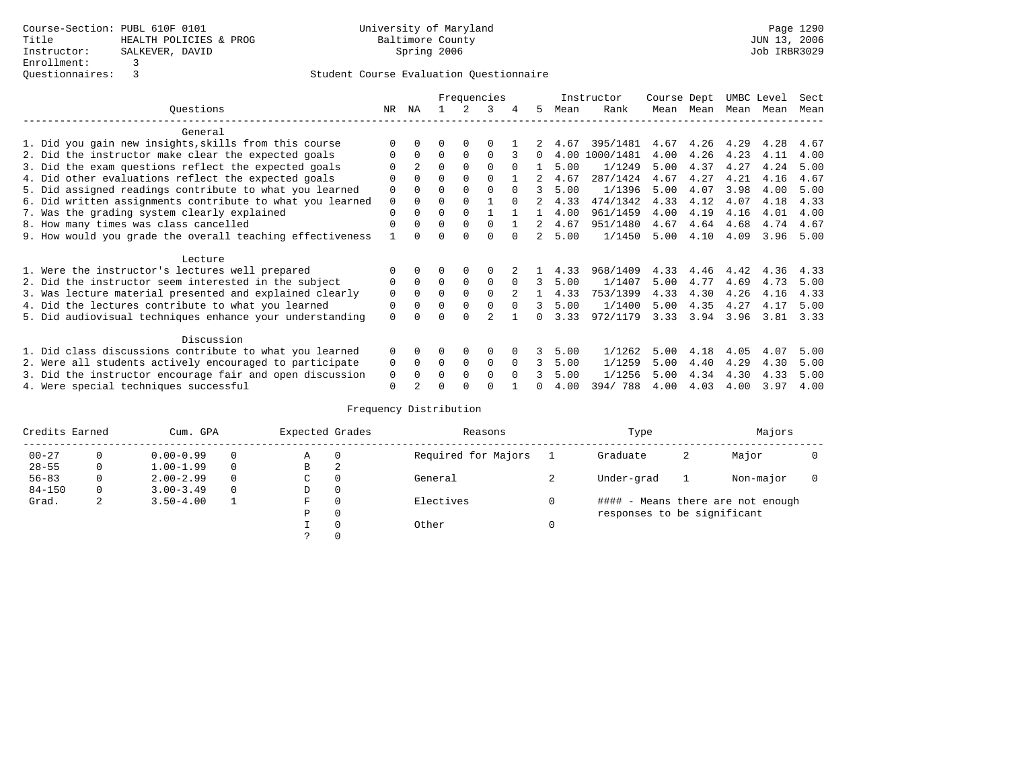|                                                           |             |              |          |          | Frequencies |          |    |      | Instructor | Course Dept |      | UMBC Level |      | Sect |
|-----------------------------------------------------------|-------------|--------------|----------|----------|-------------|----------|----|------|------------|-------------|------|------------|------|------|
| Ouestions                                                 | NR.         | ΝA           |          |          | 3           |          | 5. | Mean | Rank       | Mean        | Mean | Mean       | Mean | Mean |
| General                                                   |             |              |          |          |             |          |    |      |            |             |      |            |      |      |
| 1. Did you gain new insights, skills from this course     |             |              | O        | 0        | $\Omega$    |          |    | 4.67 | 395/1481   | 4.67        | 4.26 | 4.29       | 4.28 | 4.67 |
| 2. Did the instructor make clear the expected goals       | $\Omega$    | <sup>0</sup> | $\Omega$ | $\Omega$ | $\Omega$    |          | 0  | 4.00 | 1000/1481  | 4.00        | 4.26 | 4.23       | 4.11 | 4.00 |
| 3. Did the exam questions reflect the expected goals      |             |              | $\Omega$ | $\Omega$ | $\Omega$    | $\Omega$ |    | 5.00 | 1/1249     | 5.00        | 4.37 | 4.27       | 4.24 | 5.00 |
| 4. Did other evaluations reflect the expected goals       |             |              | $\Omega$ | $\Omega$ | $\Omega$    |          |    | 4.67 | 287/1424   | 4.67        | 4.27 | 4.21       | 4.16 | 4.67 |
| 5. Did assigned readings contribute to what you learned   | $\Omega$    |              | $\Omega$ |          | $\Omega$    | $\Omega$ | 3  | 5.00 | 1/1396     | 5.00        | 4.07 | 3.98       | 4.00 | 5.00 |
| 6. Did written assignments contribute to what you learned | $\mathbf 0$ | <sup>0</sup> | $\Omega$ |          |             | $\cap$   |    | 4.33 | 474/1342   | 4.33        | 4.12 | 4.07       | 4.18 | 4.33 |
| 7. Was the grading system clearly explained               | $\Omega$    |              | $\Omega$ |          |             |          |    | 4.00 | 961/1459   | 4.00        | 4.19 | 4.16       | 4.01 | 4.00 |
| 8. How many times was class cancelled                     | $\Omega$    |              | $\Omega$ | $\Omega$ | $\Omega$    |          |    | 4.67 | 951/1480   | 4.67        | 4.64 | 4.68       | 4.74 | 4.67 |
| 9. How would you grade the overall teaching effectiveness |             |              | ∩        | ∩        | $\cap$      |          |    | 5.00 | 1/1450     | 5.00        | 4.10 | 4.09       | 3.96 | 5.00 |
| Lecture                                                   |             |              |          |          |             |          |    |      |            |             |      |            |      |      |
| 1. Were the instructor's lectures well prepared           |             |              |          | $\Omega$ | $\Omega$    |          |    | 4.33 | 968/1409   | 4.33        | 4.46 | 4.42       | 4.36 | 4.33 |
| 2. Did the instructor seem interested in the subject      | $\Omega$    | $\Omega$     | $\Omega$ | $\Omega$ | $\Omega$    | $\Omega$ | 3  | 5.00 | 1/1407     | 5.00        | 4.77 | 4.69       | 4.73 | 5.00 |
| 3. Was lecture material presented and explained clearly   | $\mathbf 0$ | 0            | $\Omega$ |          | $\Omega$    |          |    | 4.33 | 753/1399   | 4.33        | 4.30 | 4.26       | 4.16 | 4.33 |
| 4. Did the lectures contribute to what you learned        | 0           |              | $\Omega$ | $\Omega$ | $\Omega$    | $\Omega$ | 3  | 5.00 | 1/1400     | 5.00        | 4.35 | 4.27       | 4.17 | 5.00 |
| 5. Did audiovisual techniques enhance your understanding  | $\Omega$    |              | ∩        |          |             |          |    | 3.33 | 972/1179   | 3.33        | 3.94 | 3.96       | 3.81 | 3.33 |
| Discussion                                                |             |              |          |          |             |          |    |      |            |             |      |            |      |      |
| 1. Did class discussions contribute to what you learned   | $\Omega$    |              | 0        | $\Omega$ | $\Omega$    |          |    | 5.00 | 1/1262     | 5.00        | 4.18 | 4.05       | 4.07 | 5.00 |
| 2. Were all students actively encouraged to participate   | 0           | 0            | $\Omega$ | 0        | $\Omega$    | $\Omega$ | 3  | 5.00 | 1/1259     | 5.00        | 4.40 | 4.29       | 4.30 | 5.00 |
| 3. Did the instructor encourage fair and open discussion  | 0           |              | O        | $\Omega$ | $\Omega$    | $\Omega$ |    | 5.00 | 1/1256     | 5.00        | 4.34 | 4.30       | 4.33 | 5.00 |
| 4. Were special techniques successful                     | $\Omega$    |              |          |          | ∩           |          |    | 4.00 | 394/788    | 4.00        | 4.03 | 4.00       | 3.97 | 4.00 |

| Credits Earned |          | Cum. GPA      |          | Expected Grades |              | Reasons             | Type                        |   | Majors                            |  |
|----------------|----------|---------------|----------|-----------------|--------------|---------------------|-----------------------------|---|-----------------------------------|--|
| $00 - 27$      |          | $0.00 - 0.99$ | $\Omega$ | Α               | $\mathbf 0$  | Required for Majors | Graduate                    | 2 | Major                             |  |
| $28 - 55$      | 0        | $1.00 - 1.99$ | $\Omega$ | В               | 2            |                     |                             |   |                                   |  |
| $56 - 83$      |          | $2.00 - 2.99$ | $\Omega$ | С               | 0            | General             | Under-grad                  |   | Non-major                         |  |
| $84 - 150$     | $\Omega$ | $3.00 - 3.49$ | $\Omega$ | D               | 0            |                     |                             |   |                                   |  |
| Grad.          | 2        | $3.50 - 4.00$ |          | F               | 0            | Electives           |                             |   | #### - Means there are not enough |  |
|                |          |               |          | Ρ               | $\mathbf{0}$ |                     | responses to be significant |   |                                   |  |
|                |          |               |          |                 | $\Omega$     | Other               |                             |   |                                   |  |
|                |          |               |          |                 | 0            |                     |                             |   |                                   |  |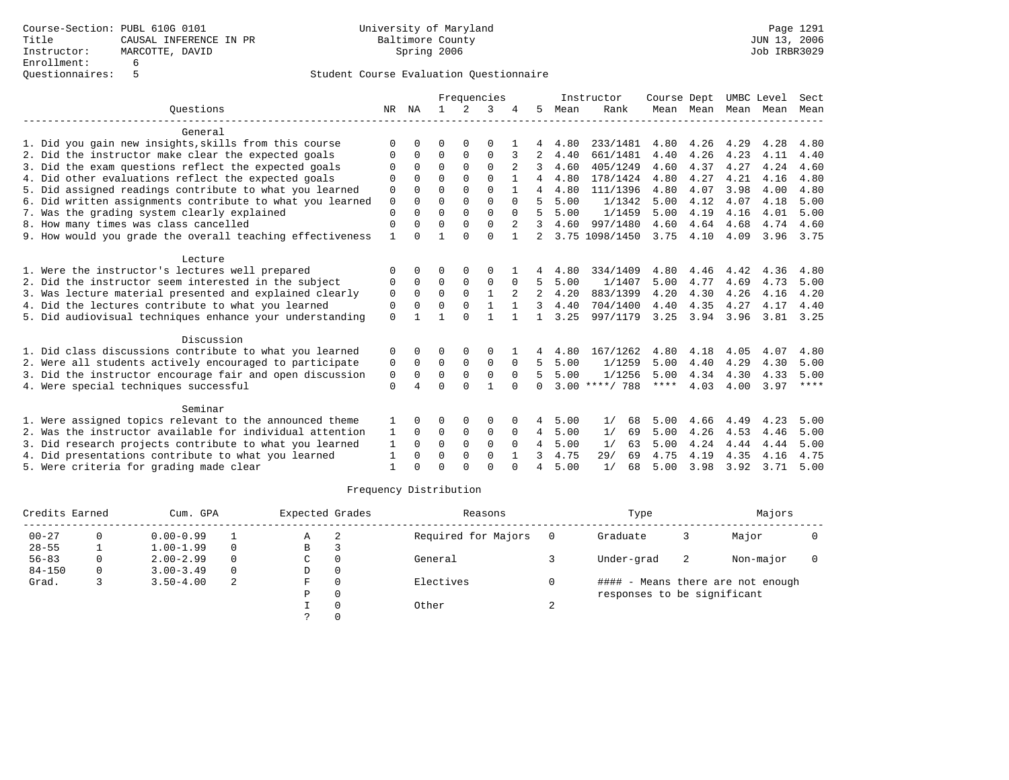|                                                           |             |          |          |          | Frequencies |          |                 |      | Instructor       | Course Dept |                |      | UMBC Level | Sect |
|-----------------------------------------------------------|-------------|----------|----------|----------|-------------|----------|-----------------|------|------------------|-------------|----------------|------|------------|------|
| Ouestions                                                 | NR          | ΝA       |          | 2        | 3           |          | 5               | Mean | Rank             |             | Mean Mean Mean |      | Mean       | Mean |
| General                                                   |             |          |          |          |             |          |                 |      |                  |             |                |      |            |      |
| 1. Did you gain new insights, skills from this course     | $\Omega$    |          | O        |          | O           |          |                 | 4.80 | 233/1481         | 4.80        | 4.26           | 4.29 | 4.28       | 4.80 |
| 2. Did the instructor make clear the expected goals       | 0           | $\Omega$ | $\Omega$ | 0        | $\Omega$    | 3        | 2               | 4.40 | 661/1481         | 4.40        | 4.26           | 4.23 | 4.11       | 4.40 |
| 3. Did the exam questions reflect the expected goals      | $\Omega$    | $\Omega$ | $\Omega$ | $\Omega$ | $\Omega$    |          |                 | 4.60 | 405/1249         | 4.60        | 4.37           | 4.27 | 4.24       | 4.60 |
| 4. Did other evaluations reflect the expected goals       | $\Omega$    | $\cap$   | $\cap$   | $\Omega$ | ∩           |          | 4               | 4.80 | 178/1424         | 4.80        | 4.27           | 4.21 | 4.16       | 4.80 |
| 5. Did assigned readings contribute to what you learned   | 0           | $\Omega$ | $\Omega$ | $\Omega$ | $\Omega$    |          | 4               | 4.80 | 111/1396         | 4.80        | 4.07           | 3.98 | 4.00       | 4.80 |
| 6. Did written assignments contribute to what you learned | $\mathbf 0$ | $\Omega$ | $\Omega$ | $\Omega$ | $\Omega$    | $\Omega$ | 5               | 5.00 | 1/1342           | 5.00        | 4.12           | 4.07 | 4.18       | 5.00 |
| 7. Was the grading system clearly explained               | $\Omega$    | $\cap$   | $\Omega$ | $\Omega$ | $\Omega$    | $\Omega$ | 5               | 5.00 | 1/1459           | 5.00        | 4.19           | 4.16 | 4.01       | 5.00 |
| 8. How many times was class cancelled                     | $\Omega$    |          | $\Omega$ | $\Omega$ | $\Omega$    | 2        | 3               | 4.60 | 997/1480         | 4.60        | 4.64           | 4.68 | 4.74       | 4.60 |
| 9. How would you grade the overall teaching effectiveness |             |          |          | $\cap$   | $\Omega$    |          | 2               |      | 3.75 1098/1450   | 3.75        | 4.10           | 4.09 | 3.96       | 3.75 |
| Lecture                                                   |             |          |          |          |             |          |                 |      |                  |             |                |      |            |      |
| 1. Were the instructor's lectures well prepared           | $\Omega$    |          | ∩        |          | O           |          |                 | 4.80 | 334/1409         | 4.80        | 4.46           | 4.42 | 4.36       | 4.80 |
| 2. Did the instructor seem interested in the subject      | 0           | $\Omega$ | $\Omega$ | 0        | 0           | $\Omega$ | 5               | 5.00 | 1/1407           | 5.00        | 4.77           | 4.69 | 4.73       | 5.00 |
| 3. Was lecture material presented and explained clearly   | $\mathbf 0$ | $\Omega$ | $\Omega$ | $\Omega$ |             | 2        | $\overline{2}$  | 4.20 | 883/1399         | 4.20        | 4.30           | 4.26 | 4.16       | 4.20 |
| 4. Did the lectures contribute to what you learned        | 0           | $\Omega$ | $\Omega$ | $\Omega$ | 1           |          | 3               | 4.40 | 704/1400         | 4.40        | 4.35           | 4.27 | 4.17       | 4.40 |
| 5. Did audiovisual techniques enhance your understanding  | $\Omega$    |          |          | $\cap$   |             |          |                 | 3.25 | 997/1179         | 3.25        | 3.94           | 3.96 | 3.81       | 3.25 |
| Discussion                                                |             |          |          |          |             |          |                 |      |                  |             |                |      |            |      |
| 1. Did class discussions contribute to what you learned   | 0           |          | ∩        | $\Omega$ | $\Omega$    |          | 4               | 4.80 | 167/1262         | 4.80        | 4.18           | 4.05 | 4.07       | 4.80 |
| 2. Were all students actively encouraged to participate   | 0           | $\Omega$ | $\Omega$ | $\Omega$ | $\Omega$    | $\Omega$ | 5               | 5.00 | 1/1259           | 5.00        | 4.40           | 4.29 | 4.30       | 5.00 |
| 3. Did the instructor encourage fair and open discussion  | 0           | $\Omega$ | $\Omega$ | $\Omega$ | $\Omega$    | $\Omega$ | 5               | 5.00 | 1/1256           | 5.00        | 4.34           | 4.30 | 4.33       | 5.00 |
| 4. Were special techniques successful                     | $\Omega$    |          | $\Omega$ | $\Omega$ |             |          | $\Omega$        |      | $3.00$ ****/ 788 | ****        | 4.03           | 4.00 | 3.97       | **** |
| Seminar                                                   |             |          |          |          |             |          |                 |      |                  |             |                |      |            |      |
| 1. Were assigned topics relevant to the announced theme   |             |          | $\Omega$ | $\Omega$ | $\Omega$    |          | 4               | 5.00 | 1/<br>68         | 5.00        | 4.66           | 4.49 | 4.23       | 5.00 |
| 2. Was the instructor available for individual attention  | 1           | $\Omega$ | 0        | 0        | 0           | 0        | $4\overline{ }$ | 5.00 | 1/<br>69         | 5.00        | 4.26           | 4.53 | 4.46       | 5.00 |
| 3. Did research projects contribute to what you learned   | 1           | $\Omega$ | $\Omega$ | $\Omega$ | $\Omega$    | $\Omega$ | 4               | 5.00 | 1/<br>63         | 5.00        | 4.24           | 4.44 | 4.44       | 5.00 |
| 4. Did presentations contribute to what you learned       |             | $\Omega$ | $\Omega$ | $\Omega$ | $\Omega$    |          | 3               | 4.75 | 29/<br>69        | 4.75        | 4.19           | 4.35 | 4.16       | 4.75 |
| 5. Were criteria for grading made clear                   |             |          | $\Omega$ | $\cap$   | $\cap$      | $\cap$   | 4               | 5.00 | 1/<br>68         | 5.00        | 3.98           | 3.92 | 3.71       | 5.00 |

| Credits Earned | Cum. GPA      |          | Expected Grades |          | Reasons             | Type                        |    | Majors                            |  |
|----------------|---------------|----------|-----------------|----------|---------------------|-----------------------------|----|-----------------------------------|--|
| $00 - 27$      | $0.00 - 0.99$ |          | Α               |          | Required for Majors | Graduate                    |    | Major                             |  |
| $28 - 55$      | $1.00 - 1.99$ | $\Omega$ | B               |          |                     |                             |    |                                   |  |
| $56 - 83$      | $2.00 - 2.99$ | $\Omega$ | C               |          | General             | Under-grad                  | -2 | Non-major                         |  |
| $84 - 150$     | $3.00 - 3.49$ | $\Omega$ | D               | $\Omega$ |                     |                             |    |                                   |  |
| Grad.          | $3.50 - 4.00$ | 2        | F               |          | Electives           |                             |    | #### - Means there are not enough |  |
|                |               |          | Ρ               |          |                     | responses to be significant |    |                                   |  |
|                |               |          |                 |          | Other               |                             |    |                                   |  |
|                |               |          |                 |          |                     |                             |    |                                   |  |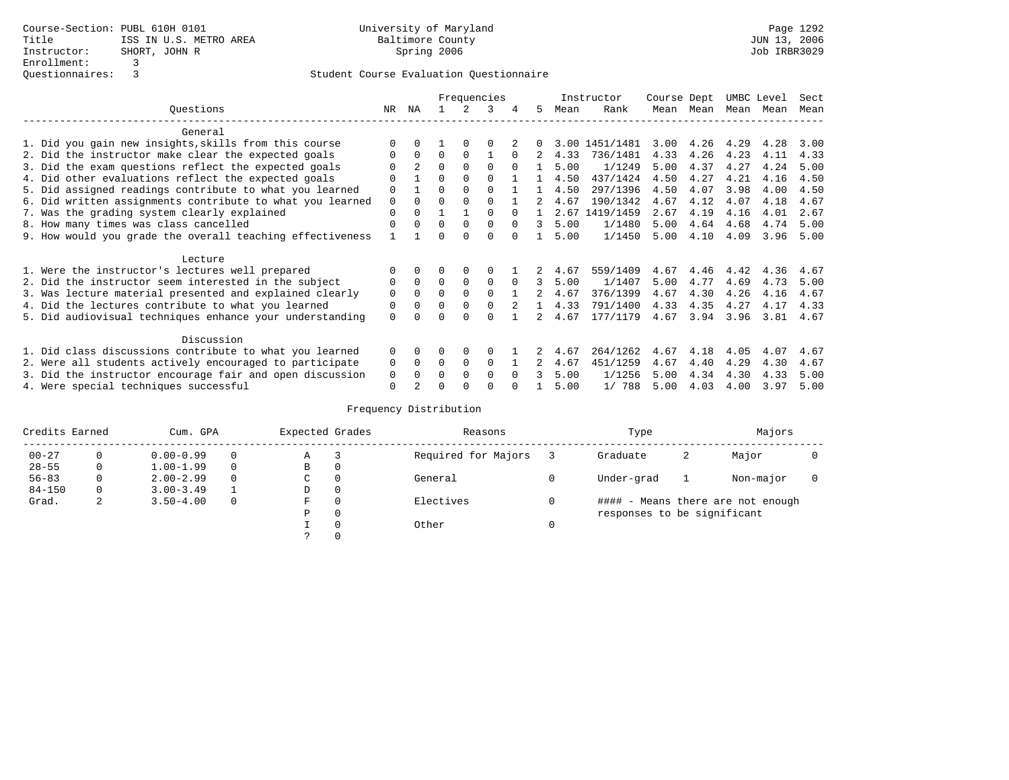|                                                           |             |                |          |          | Frequencies |          |               |      | Instructor     | Course Dept |      | UMBC Level |      | Sect |
|-----------------------------------------------------------|-------------|----------------|----------|----------|-------------|----------|---------------|------|----------------|-------------|------|------------|------|------|
| Ouestions                                                 | NR.         | ΝA             |          |          | 3           |          | 5.            | Mean | Rank           | Mean        | Mean | Mean       | Mean | Mean |
| General                                                   |             |                |          |          |             |          |               |      |                |             |      |            |      |      |
| 1. Did you gain new insights, skills from this course     |             | $\cap$         |          | $\Omega$ | O           |          |               |      | 3.00 1451/1481 | 3.00        | 4.26 | 4.29       | 4.28 | 3.00 |
| 2. Did the instructor make clear the expected goals       | O           | $\Omega$       | $\Omega$ | $\Omega$ |             | $\Omega$ | 2             | 4.33 | 736/1481       | 4.33        | 4.26 | 4.23       | 4.11 | 4.33 |
| 3. Did the exam questions reflect the expected goals      |             | $\mathfrak{D}$ | $\Omega$ | $\Omega$ | $\Omega$    | $\Omega$ |               | 5.00 | 1/1249         | 5.00        | 4.37 | 4.27       | 4.24 | 5.00 |
| 4. Did other evaluations reflect the expected goals       | O           |                | $\Omega$ | $\Omega$ | $\Omega$    |          |               | 4.50 | 437/1424       | 4.50        | 4.27 | 4.21       | 4.16 | 4.50 |
| 5. Did assigned readings contribute to what you learned   | $\mathbf 0$ |                | $\Omega$ |          | $\Omega$    |          |               | 4.50 | 297/1396       | 4.50        | 4.07 | 3.98       | 4.00 | 4.50 |
| 6. Did written assignments contribute to what you learned | $\mathbf 0$ | $\Omega$       |          |          |             |          | 2             | 4.67 | 190/1342       | 4.67        | 4.12 | 4.07       | 4.18 | 4.67 |
| 7. Was the grading system clearly explained               | $\Omega$    | $\Omega$       |          |          | $\Omega$    |          |               | 2.67 | 1419/1459      | 2.67        | 4.19 | 4.16       | 4.01 | 2.67 |
| 8. How many times was class cancelled                     | $\Omega$    | $\Omega$       | $\Omega$ | $\Omega$ | $\Omega$    | $\Omega$ | 3             | 5.00 | 1/1480         | 5.00        | 4.64 | 4.68       | 4.74 | 5.00 |
| 9. How would you grade the overall teaching effectiveness |             |                | U        | ∩        | U           |          |               | 5.00 | 1/1450         | 5.00        | 4.10 | 4.09       | 3.96 | 5.00 |
| Lecture                                                   |             |                |          |          |             |          |               |      |                |             |      |            |      |      |
| 1. Were the instructor's lectures well prepared           |             |                |          | $\Omega$ |             |          |               | 4.67 | 559/1409       | 4.67        | 4.46 | 4.42       | 4.36 | 4.67 |
| 2. Did the instructor seem interested in the subject      | 0           | $\Omega$       | $\Omega$ | $\Omega$ | $\mathbf 0$ | $\Omega$ | 3             | 5.00 | 1/1407         | 5.00        | 4.77 | 4.69       | 4.73 | 5.00 |
| 3. Was lecture material presented and explained clearly   | $\mathbf 0$ | $\Omega$       | $\Omega$ | $\Omega$ | $\Omega$    |          | $\mathcal{L}$ | 4.67 | 376/1399       | 4.67        | 4.30 | 4.26       | 4.16 | 4.67 |
| 4. Did the lectures contribute to what you learned        | 0           | $\Omega$       | $\Omega$ | $\Omega$ | $\Omega$    |          |               | 4.33 | 791/1400       | 4.33        | 4.35 | 4.27       | 4.17 | 4.33 |
| 5. Did audiovisual techniques enhance your understanding  | $\Omega$    |                |          |          |             |          |               | 4.67 | 177/1179       | 4.67        | 3.94 | 3.96       | 3.81 | 4.67 |
| Discussion                                                |             |                |          |          |             |          |               |      |                |             |      |            |      |      |
| 1. Did class discussions contribute to what you learned   | $\Omega$    | $\Omega$       | O        | $\Omega$ | $\Omega$    |          |               | 4.67 | 264/1262       | 4.67        | 4.18 | 4.05       | 4.07 | 4.67 |
| 2. Were all students actively encouraged to participate   | 0           | $\Omega$       | $\Omega$ | $\Omega$ | $\Omega$    |          |               | 4.67 | 451/1259       | 4.67        | 4.40 | 4.29       | 4.30 | 4.67 |
| 3. Did the instructor encourage fair and open discussion  | 0           |                | 0        | $\Omega$ | $\Omega$    | $\Omega$ |               | 5.00 | 1/1256         | 5.00        | 4.34 | 4.30       | 4.33 | 5.00 |
| 4. Were special techniques successful                     | $\Omega$    |                |          |          |             |          |               | 5.00 | 1/788          | 5.00        | 4.03 | 4.00       | 3.97 | 5.00 |

| Credits Earned |          | Cum. GPA      | Expected Grades |          | Reasons             |   | Type                        |   | Majors                            |  |
|----------------|----------|---------------|-----------------|----------|---------------------|---|-----------------------------|---|-----------------------------------|--|
| $00 - 27$      | $\Omega$ | $0.00 - 0.99$ | Α               |          | Required for Majors |   | Graduate                    | 2 | Major                             |  |
| $28 - 55$      | 0        | $1.00 - 1.99$ | В               | 0        |                     |   |                             |   |                                   |  |
| $56 - 83$      | 0        | $2.00 - 2.99$ | $\sim$<br>◡     | 0        | General             |   | Under-grad                  |   | Non-major                         |  |
| $84 - 150$     | 0        | $3.00 - 3.49$ | D               | 0        |                     |   |                             |   |                                   |  |
| Grad.          | 2        | $3.50 - 4.00$ | F               | 0        | Electives           | 0 |                             |   | #### - Means there are not enough |  |
|                |          |               | Ρ               | 0        |                     |   | responses to be significant |   |                                   |  |
|                |          |               |                 | $\Omega$ | Other               |   |                             |   |                                   |  |
|                |          |               |                 |          |                     |   |                             |   |                                   |  |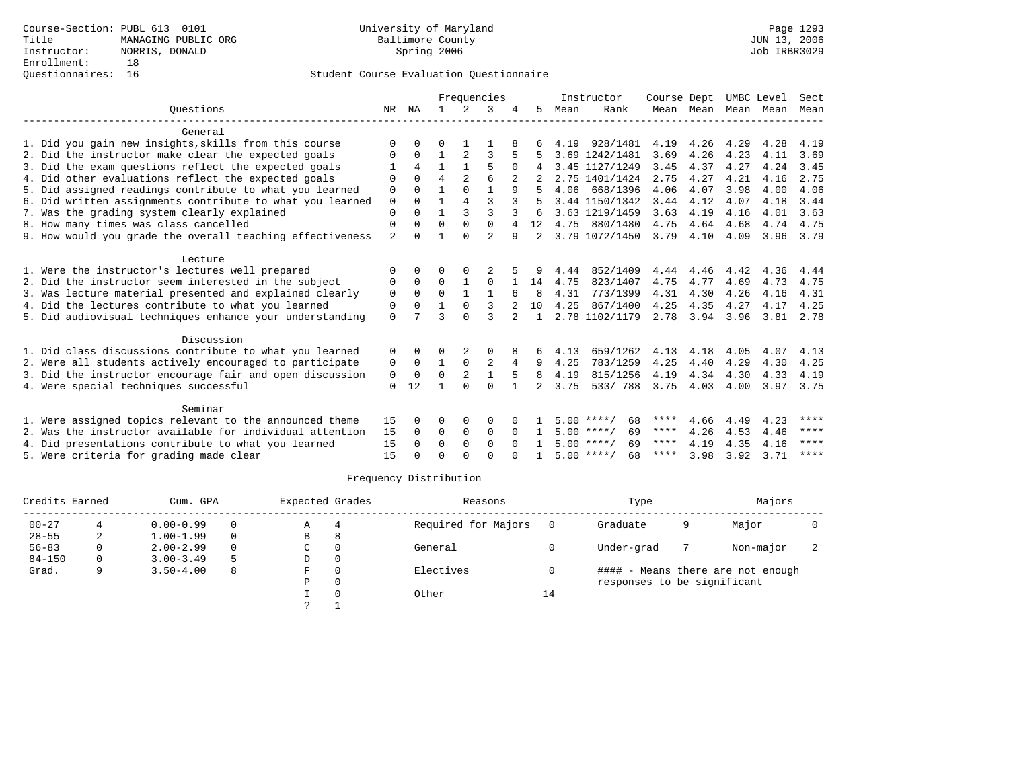|                                                           |                |              |                |              | Frequencies    |          |              |      | Instructor         | Course Dept |                     | UMBC Level |           | Sect      |
|-----------------------------------------------------------|----------------|--------------|----------------|--------------|----------------|----------|--------------|------|--------------------|-------------|---------------------|------------|-----------|-----------|
| Ouestions                                                 | NR             | ΝA           | $\mathbf{1}$   | 2            | 3              |          | 5            | Mean | Rank               |             | Mean Mean Mean Mean |            |           | Mean      |
| General                                                   |                |              |                |              |                |          |              |      |                    |             |                     |            |           |           |
| 1. Did you gain new insights, skills from this course     | O              |              | 0              |              |                |          |              | 4.19 | 928/1481           | 4.19        | 4.26                | 4.29       | 4.28      | 4.19      |
| 2. Did the instructor make clear the expected goals       | $\Omega$       | 0            | $\mathbf{1}$   | 2            |                |          |              |      | 3.69 1242/1481     | 3.69        | 4.26                | 4.23       | 4.11      | 3.69      |
| 3. Did the exam questions reflect the expected goals      |                | 4            | $\mathbf{1}$   |              | 5              | $\Omega$ | 4            |      | 3.45 1127/1249     | 3.45        | 4.37                | 4.27       | 4.24      | 3.45      |
| 4. Did other evaluations reflect the expected goals       | ∩              |              | $\overline{4}$ |              |                |          |              |      | 2.75 1401/1424     | 2.75        | 4.27                | 4.21       | 4.16      | 2.75      |
| 5. Did assigned readings contribute to what you learned   | $\Omega$       | $\Omega$     |                | $\Omega$     | $\mathbf{1}$   | 9        |              | 4.06 | 668/1396           | 4.06        | 4.07                | 3.98       | 4.00      | 4.06      |
| 6. Did written assignments contribute to what you learned | $\Omega$       | 0            | 1              | 4            | $\mathbf{3}$   |          |              |      | 3.44 1150/1342     | 3.44        | 4.12                | 4.07       | 4.18      | 3.44      |
| 7. Was the grading system clearly explained               | $\Omega$       |              |                | 3            | ζ              |          |              |      | 3.63 1219/1459     | 3.63        | 4.19                | 4.16       | 4.01      | 3.63      |
| 8. How many times was class cancelled                     | 0              | 0            | $\Omega$       | $\Omega$     | $\Omega$       | 4        | 12           |      | 4.75 880/1480      | 4.75        | 4.64                | 4.68       | 4.74      | 4.75      |
| 9. How would you grade the overall teaching effectiveness | $\overline{a}$ | 0            |                | $\Omega$     | $\mathfrak{D}$ | 9        | 2            |      | 3.79 1072/1450     | 3.79        | 4.10                | 4.09       |           | 3.96 3.79 |
|                                                           |                |              |                |              |                |          |              |      |                    |             |                     |            |           |           |
| Lecture                                                   |                |              |                |              |                |          |              |      |                    |             |                     |            |           |           |
| 1. Were the instructor's lectures well prepared           | O              | 0            | 0              | 0            |                |          | 9            | 4.44 | 852/1409           | 4.44        | 4.46                | 4.42       | 4.36      | 4.44      |
| 2. Did the instructor seem interested in the subject      | $\Omega$       | $\Omega$     | $\Omega$       | $\mathbf{1}$ | $\Omega$       |          | 14           | 4.75 | 823/1407           | 4.75        | 4.77                | 4.69       | 4.73      | 4.75      |
| 3. Was lecture material presented and explained clearly   | $\mathbf 0$    | $\Omega$     | $\Omega$       | $\mathbf{1}$ | $\mathbf{1}$   |          | 8            | 4.31 | 773/1399           | 4.31        | 4.30                | 4.26       | 4.16      | 4.31      |
| 4. Did the lectures contribute to what you learned        | 0              | $\Omega$     |                | $\Omega$     | 3              |          | 10           | 4.25 | 867/1400           | 4.25        | 4.35                | 4.27       | 4.17      | 4.25      |
| 5. Did audiovisual techniques enhance your understanding  | $\Omega$       |              | 3              | $\Omega$     | 3              |          | $\mathbf{1}$ |      | 2.78 1102/1179     |             | 2.78 3.94           | 3.96       |           | 3.81 2.78 |
| Discussion                                                |                |              |                |              |                |          |              |      |                    |             |                     |            |           |           |
| 1. Did class discussions contribute to what you learned   | 0              | 0            | 0              |              | $\Omega$       |          | 6            | 4.13 | 659/1262           | 4.13        | 4.18                | 4.05       | 4.07      | 4.13      |
| 2. Were all students actively encouraged to participate   | 0              | $\Omega$     | $\mathbf{1}$   | $\Omega$     | 2              | 4        | 9            | 4.25 | 783/1259           | 4.25        | 4.40                | 4.29       | 4.30      | 4.25      |
| 3. Did the instructor encourage fair and open discussion  | 0              | $\Omega$     | $\Omega$       | 2            |                |          | 8            | 4.19 | 815/1256           | 4.19        | 4.34                | 4.30       | 4.33      | 4.19      |
| 4. Were special techniques successful                     | $\Omega$       | 12           |                | $\Omega$     | $\Omega$       |          | 2            | 3.75 | 533/788            | 3.75        | 4.03                | 4.00       | 3.97 3.75 |           |
|                                                           |                |              |                |              |                |          |              |      |                    |             |                     |            |           |           |
| Seminar                                                   |                |              |                |              |                |          |              |      |                    |             |                     |            |           |           |
| 1. Were assigned topics relevant to the announced theme   | 15             | <sup>0</sup> | 0              | 0            | $\Omega$       |          |              |      | $5.00$ ****/<br>68 | ****        | 4.66                | 4.49       | 4.23      | ****      |
| 2. Was the instructor available for individual attention  | 15             | $\Omega$     | $\Omega$       | $\Omega$     | $\Omega$       | $\Omega$ |              |      | $5.00$ ****/<br>69 | ****        | 4.26                | 4.53       | 4.46      | ****      |
| 4. Did presentations contribute to what you learned       | 15             | 0            | $\Omega$       | $\Omega$     | $\Omega$       | $\cap$   |              |      | $5.00$ ****/<br>69 | ****        | 4.19                | 4.35       | 4.16      | ****      |
| 5. Were criteria for grading made clear                   | 15             |              | $\cap$         | $\cap$       | $\cap$         |          |              |      | $5.00$ ****/<br>68 | ****        | 3.98                | 3.92       | 3.71      | ****      |

| Credits Earned |   | Cum. GPA      |          | Expected Grades |          | Reasons             |    | Type                        |   | Majors                            |  |
|----------------|---|---------------|----------|-----------------|----------|---------------------|----|-----------------------------|---|-----------------------------------|--|
| $00 - 27$      |   | $0.00 - 0.99$ | $\Omega$ | A               | 4        | Required for Majors |    | Graduate                    | 9 | Major                             |  |
| $28 - 55$      | 2 | $1.00 - 1.99$ | $\Omega$ | В               | 8        |                     |    |                             |   |                                   |  |
| $56 - 83$      | 0 | $2.00 - 2.99$ | $\Omega$ | C               | $\Omega$ | General             |    | Under-grad                  |   | Non-major                         |  |
| $84 - 150$     | 0 | $3.00 - 3.49$ |          | D               | 0        |                     |    |                             |   |                                   |  |
| Grad.          | Q | $3.50 - 4.00$ | 8        | F.              | $\Omega$ | Electives           |    |                             |   | #### - Means there are not enough |  |
|                |   |               |          | Ρ               | 0        |                     |    | responses to be significant |   |                                   |  |
|                |   |               |          |                 |          | Other               | 14 |                             |   |                                   |  |
|                |   |               |          |                 |          |                     |    |                             |   |                                   |  |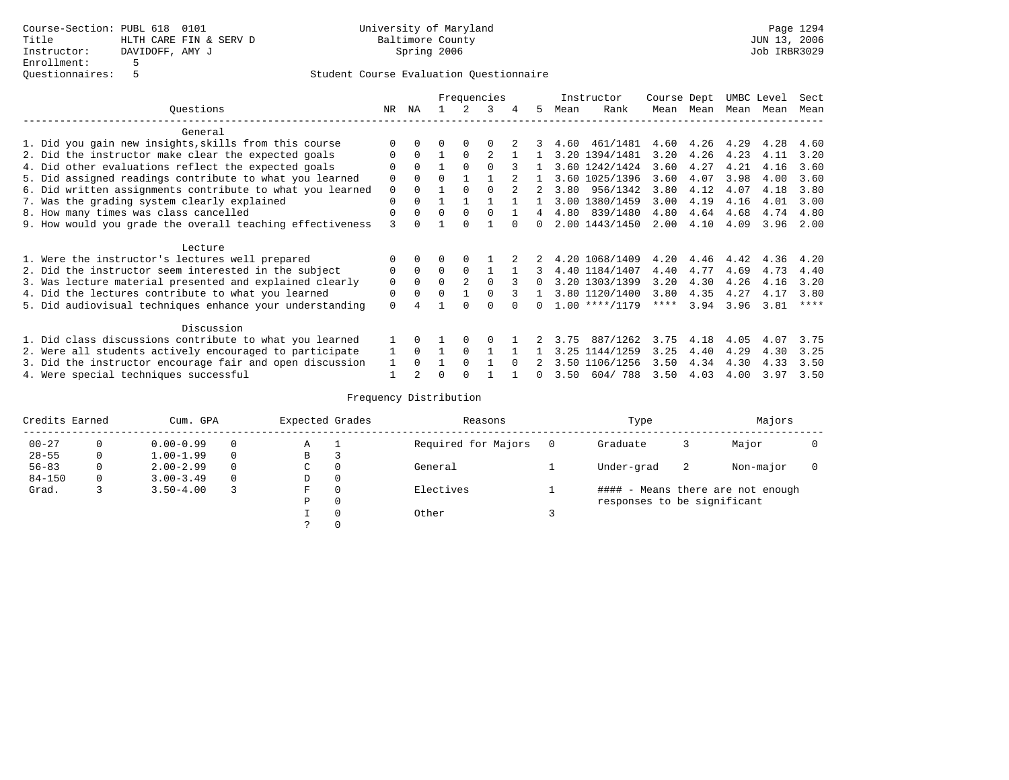|                                                           |          |          |          |          | Frequencies |        |          |      | Instructor       | Course Dept |      | UMBC Level |      | Sect |
|-----------------------------------------------------------|----------|----------|----------|----------|-------------|--------|----------|------|------------------|-------------|------|------------|------|------|
| Ouestions                                                 | NR       | ΝA       |          | 2        | 3           | 4      | 5.       | Mean | Rank             | Mean        | Mean | Mean       | Mean | Mean |
| General                                                   |          |          |          |          |             |        |          |      |                  |             |      |            |      |      |
| 1. Did you gain new insights, skills from this course     |          |          |          |          |             |        |          | 4.60 | 461/1481         | 4.60        |      | 4.26 4.29  | 4.28 | 4.60 |
| 2. Did the instructor make clear the expected goals       |          |          |          | $\Omega$ |             |        |          |      | 3.20 1394/1481   | 3.20        | 4.26 | 4.23       | 4.11 | 3.20 |
| 4. Did other evaluations reflect the expected goals       |          | $\Omega$ |          |          |             |        |          |      | 3.60 1242/1424   | 3.60        | 4.27 | 4.21       | 4.16 | 3.60 |
| 5. Did assigned readings contribute to what you learned   | $\Omega$ |          |          |          |             |        |          |      | 3.60 1025/1396   | 3.60        | 4.07 | 3.98       | 4.00 | 3.60 |
| 6. Did written assignments contribute to what you learned | $\Omega$ | $\cap$   |          |          |             |        |          |      | 3.80 956/1342    | 3.80        | 4.12 | 4.07       | 4.18 | 3.80 |
| 7. Was the grading system clearly explained               | $\Omega$ |          |          |          |             |        |          |      | 3.00 1380/1459   | 3.00        | 4.19 | 4.16       | 4.01 | 3.00 |
| 8. How many times was class cancelled                     | $\Omega$ |          | $\Omega$ |          |             |        | 4        | 4.80 | 839/1480         | 4.80        | 4.64 | 4.68       | 4.74 | 4.80 |
| 9. How would you grade the overall teaching effectiveness | २        |          |          |          |             |        |          |      | 2.00 1443/1450   | 2.00        | 4.10 | 4.09       | 3.96 | 2.00 |
| Lecture                                                   |          |          |          |          |             |        |          |      |                  |             |      |            |      |      |
| 1. Were the instructor's lectures well prepared           |          |          |          |          |             |        |          |      | 4.20 1068/1409   | 4.20        | 4.46 | 4.42       | 4.36 | 4.20 |
| 2. Did the instructor seem interested in the subject      |          | $\Omega$ | $\Omega$ | $\Omega$ |             |        |          |      | 4.40 1184/1407   | 4.40        | 4.77 | 4.69       | 4.73 | 4.40 |
| 3. Was lecture material presented and explained clearly   | $\Omega$ | $\Omega$ | $\Omega$ |          |             |        |          |      | 3.20 1303/1399   | 3.20        | 4.30 | 4.26       | 4.16 | 3.20 |
| 4. Did the lectures contribute to what you learned        | $\Omega$ |          |          |          |             |        |          |      | 3.80 1120/1400   | 3.80        | 4.35 | 4.27       | 4.17 | 3.80 |
| 5. Did audiovisual techniques enhance your understanding  | $\Omega$ |          |          |          |             |        | $\cap$   |      | $1.00$ ****/1179 | ****        | 3.94 | 3.96       | 3.81 | **** |
| Discussion                                                |          |          |          |          |             |        |          |      |                  |             |      |            |      |      |
| 1. Did class discussions contribute to what you learned   |          |          |          |          |             |        |          | 3.75 | 887/1262         | 3.75        | 4.18 | 4.05       | 4.07 | 3.75 |
| 2. Were all students actively encouraged to participate   |          | $\Omega$ |          |          |             |        |          |      | 3.25 1144/1259   | 3.25        | 4.40 | 4.29       | 4.30 | 3.25 |
| 3. Did the instructor encourage fair and open discussion  |          |          |          |          |             | $\cap$ |          |      | 3.50 1106/1256   | 3.50        | 4.34 | 4.30       | 4.33 | 3.50 |
| 4. Were special techniques successful                     |          |          | ∩        |          |             |        | $\Omega$ | 3.50 | 604/788          | 3.50        | 4.03 | 4.00       | 3.97 | 3.50 |

| Credits Earned |          | Cum. GPA      |          | Expected Grades |          | Reasons             | Type                        |   | Majors                            |  |
|----------------|----------|---------------|----------|-----------------|----------|---------------------|-----------------------------|---|-----------------------------------|--|
| $00 - 27$      | 0        | $0.00 - 0.99$ | $\Omega$ | Α               | л.       | Required for Majors | Graduate                    |   | Major                             |  |
| $28 - 55$      | 0        | $1.00 - 1.99$ | $\Omega$ | B               |          |                     |                             |   |                                   |  |
| $56 - 83$      | 0        | $2.00 - 2.99$ | $\Omega$ | C               | 0        | General             | Under-grad                  | 2 | Non-major                         |  |
| $84 - 150$     | $\Omega$ | $3.00 - 3.49$ | $\Omega$ | D               | 0        |                     |                             |   |                                   |  |
| Grad.          |          | $3.50 - 4.00$ |          | F               | $\Omega$ | Electives           |                             |   | #### - Means there are not enough |  |
|                |          |               |          | Ρ               | 0        |                     | responses to be significant |   |                                   |  |
|                |          |               |          |                 | $\Omega$ | Other               |                             |   |                                   |  |
|                |          |               |          |                 |          |                     |                             |   |                                   |  |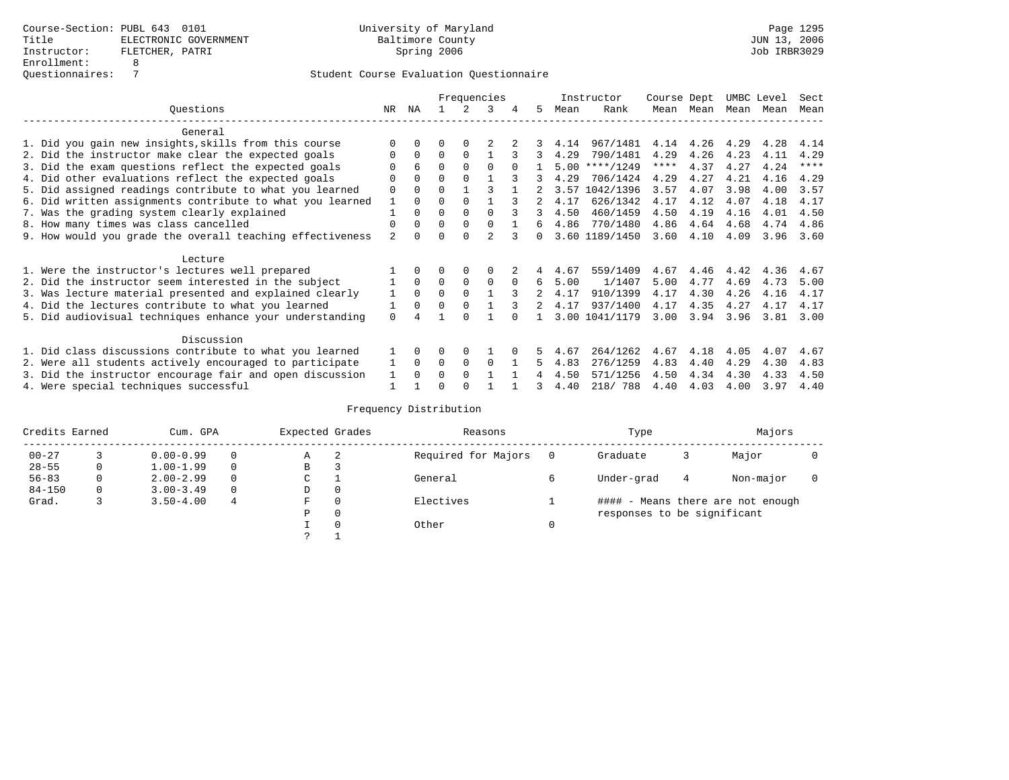|                                                           |                |              |          |             | Frequencies    |          |        |      | Instructor     | Course Dept |           | UMBC Level |      | Sect        |
|-----------------------------------------------------------|----------------|--------------|----------|-------------|----------------|----------|--------|------|----------------|-------------|-----------|------------|------|-------------|
| Ouestions                                                 | NR             | ΝA           |          |             | 3              | 4        | 5.     | Mean | Rank           |             | Mean Mean | Mean       | Mean | Mean        |
| General                                                   |                |              |          |             |                |          |        |      |                |             |           |            |      |             |
| 1. Did you gain new insights, skills from this course     |                | $\Omega$     | 0        | $\Omega$    |                |          |        | 4.14 | 967/1481       | 4.14        | 4.26      | 4.29       | 4.28 | 4.14        |
| 2. Did the instructor make clear the expected goals       | O              | $\Omega$     | $\Omega$ | $\Omega$    |                |          | 3      | 4.29 | 790/1481       | 4.29        | 4.26      | 4.23       | 4.11 | 4.29        |
| 3. Did the exam questions reflect the expected goals      |                | 6            | 0        | $\Omega$    | $\Omega$       |          |        | 5.00 | $***/1249$     | ****        | 4.37      | 4.27       | 4.24 | $***$ * * * |
| 4. Did other evaluations reflect the expected goals       | O              | $\Omega$     | O        | $\Omega$    |                |          |        | 4.29 | 706/1424       | 4.29        | 4.27      | 4.21       | 4.16 | 4.29        |
| 5. Did assigned readings contribute to what you learned   | $\Omega$       | $\Omega$     | 0        |             | ζ              |          |        | 3.57 | 1042/1396      | 3.57        | 4.07      | 3.98       | 4.00 | 3.57        |
| 6. Did written assignments contribute to what you learned |                | $\Omega$     | 0        | $\Omega$    |                |          |        | 4.17 | 626/1342       | 4.17        | 4.12      | 4.07       | 4.18 | 4.17        |
| 7. Was the grading system clearly explained               |                | $\Omega$     | O        | $\Omega$    | $\cap$         |          |        | 4.50 | 460/1459       | 4.50        | 4.19      | 4.16       | 4.01 | 4.50        |
| 8. How many times was class cancelled                     | $\Omega$       | $\Omega$     | $\Omega$ | $\Omega$    | <sup>0</sup>   |          | б.     | 4.86 | 770/1480       | 4.86        | 4.64      | 4.68       | 4.74 | 4.86        |
| 9. How would you grade the overall teaching effectiveness | $\overline{a}$ | <sup>n</sup> |          | $\cap$      | $\mathfrak{D}$ |          | $\cap$ |      | 3.60 1189/1450 | 3.60        | 4.10      | 4.09       | 3.96 | 3.60        |
| Lecture                                                   |                |              |          |             |                |          |        |      |                |             |           |            |      |             |
| 1. Were the instructor's lectures well prepared           |                |              |          | $\Omega$    | O              |          |        | 4.67 | 559/1409       | 4.67        | 4.46      | 4.42       | 4.36 | 4.67        |
| 2. Did the instructor seem interested in the subject      |                | $\Omega$     | $\Omega$ | $\Omega$    | $\Omega$       | $\Omega$ | 6      | 5.00 | 1/1407         | 5.00        | 4.77      | 4.69       | 4.73 | 5.00        |
| 3. Was lecture material presented and explained clearly   |                | $\Omega$     | $\Omega$ | $\Omega$    |                |          |        | 4.17 | 910/1399       | 4.17        | 4.30      | 4.26       | 4.16 | 4.17        |
| 4. Did the lectures contribute to what you learned        |                | $\Omega$     | $\Omega$ | $\Omega$    |                |          | 2      | 4.17 | 937/1400       | 4.17        | 4.35      | 4.27       | 4.17 | 4.17        |
| 5. Did audiovisual techniques enhance your understanding  | $\Omega$       |              |          |             |                |          |        |      | 3.00 1041/1179 | 3.00        | 3.94      | 3.96       | 3.81 | 3.00        |
| Discussion                                                |                |              |          |             |                |          |        |      |                |             |           |            |      |             |
| 1. Did class discussions contribute to what you learned   |                | $\Omega$     | O        | $\Omega$    |                |          |        | 4.67 | 264/1262       | 4.67        | 4.18      | 4.05       | 4.07 | 4.67        |
| 2. Were all students actively encouraged to participate   |                | $\Omega$     | $\Omega$ | $\mathbf 0$ | $\Omega$       |          | 5      | 4.83 | 276/1259       | 4.83        | 4.40      | 4.29       | 4.30 | 4.83        |
| 3. Did the instructor encourage fair and open discussion  | 1              | $\Omega$     | U        | $\Omega$    |                |          |        | 4.50 | 571/1256       | 4.50        | 4.34      | 4.30       | 4.33 | 4.50        |
| 4. Were special techniques successful                     |                |              |          |             |                |          |        | 4.40 | 218/ 788       | 4.40        | 4.03      | 4.00       | 3.97 | 4.40        |

| Credits Earned |   | Cum. GPA      |          | Expected Grades |          | Reasons             |   | Type                        |   | Majors                            |  |
|----------------|---|---------------|----------|-----------------|----------|---------------------|---|-----------------------------|---|-----------------------------------|--|
| $00 - 27$      |   | $0.00 - 0.99$ |          | А               | -2       | Required for Majors | 0 | Graduate                    | 3 | Major                             |  |
| $28 - 55$      | 0 | $1.00 - 1.99$ |          | В               | 3        |                     |   |                             |   |                                   |  |
| $56 - 83$      | 0 | $2.00 - 2.99$ |          | $\sim$<br>J     |          | General             |   | Under-grad                  | 4 | Non-major                         |  |
| $84 - 150$     | 0 | $3.00 - 3.49$ | $\Omega$ | D               | 0        |                     |   |                             |   |                                   |  |
| Grad.          |   | $3.50 - 4.00$ | 4        | F               | 0        | Electives           |   |                             |   | #### - Means there are not enough |  |
|                |   |               |          | Ρ               | 0        |                     |   | responses to be significant |   |                                   |  |
|                |   |               |          |                 | $\Omega$ | Other               |   |                             |   |                                   |  |
|                |   |               |          | っ               |          |                     |   |                             |   |                                   |  |